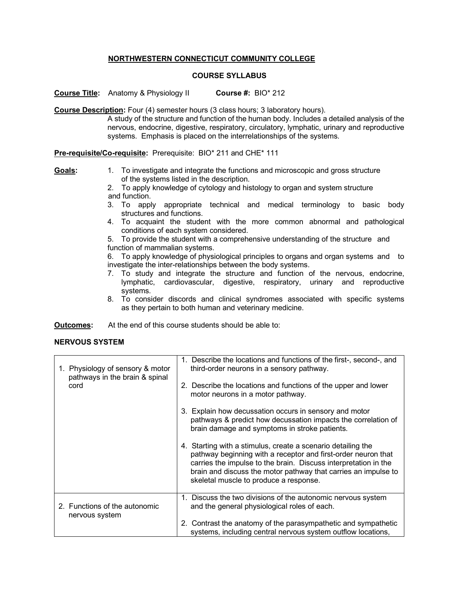#### **NORTHWESTERN CONNECTICUT COMMUNITY COLLEGE**

#### **COURSE SYLLABUS**

**Course Title:** Anatomy & Physiology II **Course #:** BIO\* 212

**Course Description:** Four (4) semester hours (3 class hours; 3 laboratory hours).

A study of the structure and function of the human body. Includes a detailed analysis of the nervous, endocrine, digestive, respiratory, circulatory, lymphatic, urinary and reproductive systems. Emphasis is placed on the interrelationships of the systems.

**Pre-requisite/Co-requisite:** Prerequisite: BIO\* 211 and CHE\* 111

- 
- **Goals:** 1. To investigate and integrate the functions and microscopic and gross structure of the systems listed in the description.
	- 2. To apply knowledge of cytology and histology to organ and system structure and function.
	- 3. To apply appropriate technical and medical terminology to basic body structures and functions.
	- 4. To acquaint the student with the more common abnormal and pathological conditions of each system considered.

5. To provide the student with a comprehensive understanding of the structure and function of mammalian systems.

6. To apply knowledge of physiological principles to organs and organ systems and to investigate the inter-relationships between the body systems.

- 7. To study and integrate the structure and function of the nervous, endocrine, lymphatic, cardiovascular, digestive, respiratory, urinary and reproductive systems.
- 8. To consider discords and clinical syndromes associated with specific systems as they pertain to both human and veterinary medicine.

**Outcomes:** At the end of this course students should be able to:

#### **NERVOUS SYSTEM**

| 1. Physiology of sensory & motor<br>pathways in the brain & spinal<br>cord | 1. Describe the locations and functions of the first-, second-, and<br>third-order neurons in a sensory pathway.<br>2. Describe the locations and functions of the upper and lower<br>motor neurons in a motor pathway.                                                                                      |
|----------------------------------------------------------------------------|--------------------------------------------------------------------------------------------------------------------------------------------------------------------------------------------------------------------------------------------------------------------------------------------------------------|
|                                                                            | 3. Explain how decussation occurs in sensory and motor<br>pathways & predict how decussation impacts the correlation of<br>brain damage and symptoms in stroke patients.                                                                                                                                     |
|                                                                            | 4. Starting with a stimulus, create a scenario detailing the<br>pathway beginning with a receptor and first-order neuron that<br>carries the impulse to the brain. Discuss interpretation in the<br>brain and discuss the motor pathway that carries an impulse to<br>skeletal muscle to produce a response. |
| 2. Functions of the autonomic<br>nervous system                            | 1. Discuss the two divisions of the autonomic nervous system<br>and the general physiological roles of each.                                                                                                                                                                                                 |
|                                                                            | 2. Contrast the anatomy of the parasympathetic and sympathetic<br>systems, including central nervous system outflow locations,                                                                                                                                                                               |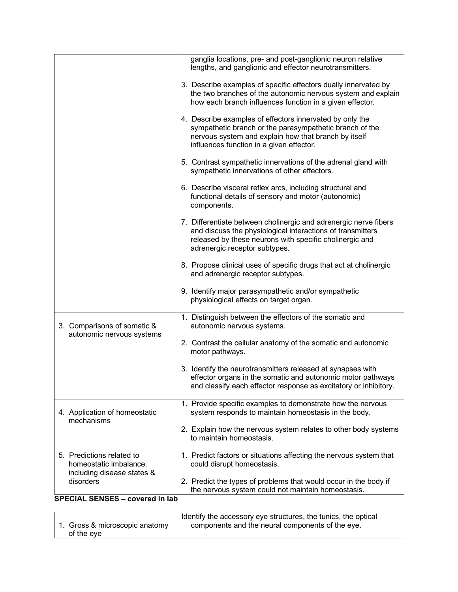|                                                                                   | ganglia locations, pre- and post-ganglionic neuron relative<br>lengths, and ganglionic and effector neurotransmitters.                                                                                                     |
|-----------------------------------------------------------------------------------|----------------------------------------------------------------------------------------------------------------------------------------------------------------------------------------------------------------------------|
|                                                                                   | 3. Describe examples of specific effectors dually innervated by<br>the two branches of the autonomic nervous system and explain<br>how each branch influences function in a given effector.                                |
|                                                                                   | 4. Describe examples of effectors innervated by only the<br>sympathetic branch or the parasympathetic branch of the<br>nervous system and explain how that branch by itself<br>influences function in a given effector.    |
|                                                                                   | 5. Contrast sympathetic innervations of the adrenal gland with<br>sympathetic innervations of other effectors.                                                                                                             |
|                                                                                   | 6. Describe visceral reflex arcs, including structural and<br>functional details of sensory and motor (autonomic)<br>components.                                                                                           |
|                                                                                   | 7. Differentiate between cholinergic and adrenergic nerve fibers<br>and discuss the physiological interactions of transmitters<br>released by these neurons with specific cholinergic and<br>adrenergic receptor subtypes. |
|                                                                                   | 8. Propose clinical uses of specific drugs that act at cholinergic<br>and adrenergic receptor subtypes.                                                                                                                    |
|                                                                                   | 9. Identify major parasympathetic and/or sympathetic<br>physiological effects on target organ.                                                                                                                             |
| 3. Comparisons of somatic &<br>autonomic nervous systems                          | 1. Distinguish between the effectors of the somatic and<br>autonomic nervous systems.                                                                                                                                      |
|                                                                                   | 2. Contrast the cellular anatomy of the somatic and autonomic<br>motor pathways.                                                                                                                                           |
|                                                                                   | 3. Identify the neurotransmitters released at synapses with<br>effector organs in the somatic and autonomic motor pathways<br>and classify each effector response as excitatory or inhibitory.                             |
| 4. Application of homeostatic<br>mechanisms                                       | 1. Provide specific examples to demonstrate how the nervous<br>system responds to maintain homeostasis in the body.                                                                                                        |
|                                                                                   | 2. Explain how the nervous system relates to other body systems<br>to maintain homeostasis.                                                                                                                                |
| 5. Predictions related to<br>homeostatic imbalance,<br>including disease states & | 1. Predict factors or situations affecting the nervous system that<br>could disrupt homeostasis.                                                                                                                           |
| disorders                                                                         | 2. Predict the types of problems that would occur in the body if<br>the nervous system could not maintain homeostasis.                                                                                                     |
| <b>SPECIAL SENSES - covered in lab</b>                                            |                                                                                                                                                                                                                            |
| 1. Gross & microscopic anatomy                                                    | Identify the accessory eye structures, the tunics, the optical<br>components and the neural components of the eye.                                                                                                         |

of the eye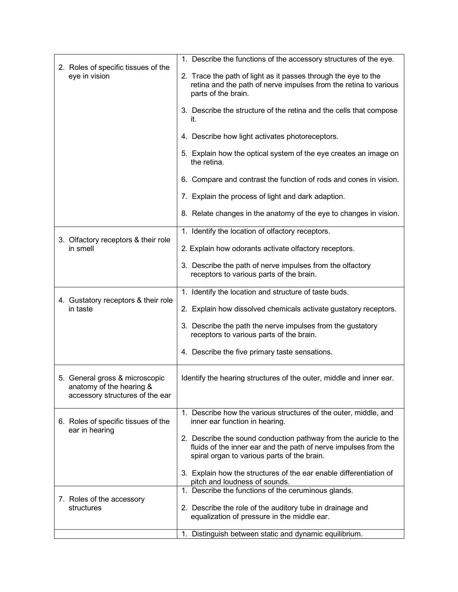|                                                                                               | 1. Describe the functions of the accessory structures of the eye.                                                                                                                  |
|-----------------------------------------------------------------------------------------------|------------------------------------------------------------------------------------------------------------------------------------------------------------------------------------|
| 2. Roles of specific tissues of the<br>eye in vision                                          | 2. Trace the path of light as it passes through the eye to the<br>retina and the path of nerve impulses from the retina to various<br>parts of the brain.                          |
|                                                                                               | 3. Describe the structure of the retina and the cells that compose<br>it.                                                                                                          |
|                                                                                               | 4. Describe how light activates photoreceptors.                                                                                                                                    |
|                                                                                               | 5. Explain how the optical system of the eye creates an image on<br>the retina.                                                                                                    |
|                                                                                               | 6. Compare and contrast the function of rods and cones in vision.                                                                                                                  |
|                                                                                               | 7. Explain the process of light and dark adaption.                                                                                                                                 |
|                                                                                               | 8. Relate changes in the anatomy of the eye to changes in vision.                                                                                                                  |
|                                                                                               | 1. Identify the location of olfactory receptors.                                                                                                                                   |
| 3. Olfactory receptors & their role<br>in smell                                               | 2. Explain how odorants activate olfactory receptors.                                                                                                                              |
|                                                                                               | 3. Describe the path of nerve impulses from the olfactory<br>receptors to various parts of the brain.                                                                              |
| 4. Gustatory receptors & their role                                                           | 1. Identify the location and structure of taste buds.                                                                                                                              |
| in taste                                                                                      | 2. Explain how dissolved chemicals activate gustatory receptors.                                                                                                                   |
|                                                                                               | 3. Describe the path the nerve impulses from the gustatory<br>receptors to various parts of the brain.                                                                             |
|                                                                                               | 4. Describe the five primary taste sensations.                                                                                                                                     |
| 5. General gross & microscopic<br>anatomy of the hearing &<br>accessory structures of the ear | Identify the hearing structures of the outer, middle and inner ear.                                                                                                                |
| 6. Roles of specific tissues of the                                                           | 1. Describe how the various structures of the outer, middle, and<br>inner ear function in hearing.                                                                                 |
| ear in hearing                                                                                | 2. Describe the sound conduction pathway from the auricle to the<br>fluids of the inner ear and the path of nerve impulses from the<br>spiral organ to various parts of the brain. |
|                                                                                               | 3. Explain how the structures of the ear enable differentiation of<br>pitch and loudness of sounds.                                                                                |
|                                                                                               | 1. Describe the functions of the ceruminous glands.                                                                                                                                |
| 7. Roles of the accessory<br>structures                                                       | 2. Describe the role of the auditory tube in drainage and                                                                                                                          |
|                                                                                               | equalization of pressure in the middle ear.                                                                                                                                        |
|                                                                                               | 1. Distinguish between static and dynamic equilibrium.                                                                                                                             |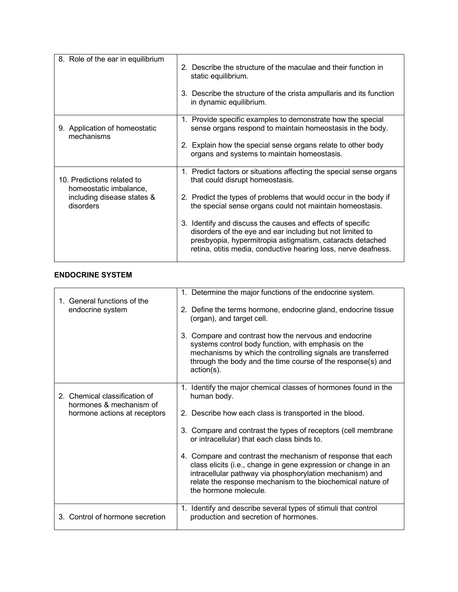| 8. Role of the ear in equilibrium                                                               | 2. Describe the structure of the maculae and their function in<br>static equilibrium.<br>3. Describe the structure of the crista ampullaris and its function<br>in dynamic equilibrium.                                                                                                                                                                                                                                                                                                          |
|-------------------------------------------------------------------------------------------------|--------------------------------------------------------------------------------------------------------------------------------------------------------------------------------------------------------------------------------------------------------------------------------------------------------------------------------------------------------------------------------------------------------------------------------------------------------------------------------------------------|
| 9. Application of homeostatic<br>mechanisms                                                     | 1. Provide specific examples to demonstrate how the special<br>sense organs respond to maintain homeostasis in the body.<br>2. Explain how the special sense organs relate to other body<br>organs and systems to maintain homeostasis.                                                                                                                                                                                                                                                          |
| 10. Predictions related to<br>homeostatic imbalance,<br>including disease states &<br>disorders | 1. Predict factors or situations affecting the special sense organs<br>that could disrupt homeostasis.<br>2. Predict the types of problems that would occur in the body if<br>the special sense organs could not maintain homeostasis.<br>3. Identify and discuss the causes and effects of specific<br>disorders of the eye and ear including but not limited to<br>presbyopia, hypermitropia astigmatism, cataracts detached<br>retina, otitis media, conductive hearing loss, nerve deafness. |

#### **ENDOCRINE SYSTEM**

| 1. General functions of the<br>endocrine system                                          | 1. Determine the major functions of the endocrine system.<br>2. Define the terms hormone, endocrine gland, endocrine tissue<br>(organ), and target cell.<br>3. Compare and contrast how the nervous and endocrine<br>systems control body function, with emphasis on the<br>mechanisms by which the controlling signals are transferred<br>through the body and the time course of the response(s) and<br>action(s).                                                                                                                          |
|------------------------------------------------------------------------------------------|-----------------------------------------------------------------------------------------------------------------------------------------------------------------------------------------------------------------------------------------------------------------------------------------------------------------------------------------------------------------------------------------------------------------------------------------------------------------------------------------------------------------------------------------------|
| 2. Chemical classification of<br>hormones & mechanism of<br>hormone actions at receptors | 1. Identify the major chemical classes of hormones found in the<br>human body.<br>2. Describe how each class is transported in the blood.<br>3. Compare and contrast the types of receptors (cell membrane<br>or intracellular) that each class binds to.<br>4. Compare and contrast the mechanism of response that each<br>class elicits (i.e., change in gene expression or change in an<br>intracellular pathway via phosphorylation mechanism) and<br>relate the response mechanism to the biochemical nature of<br>the hormone molecule. |
| 3. Control of hormone secretion                                                          | 1. Identify and describe several types of stimuli that control<br>production and secretion of hormones.                                                                                                                                                                                                                                                                                                                                                                                                                                       |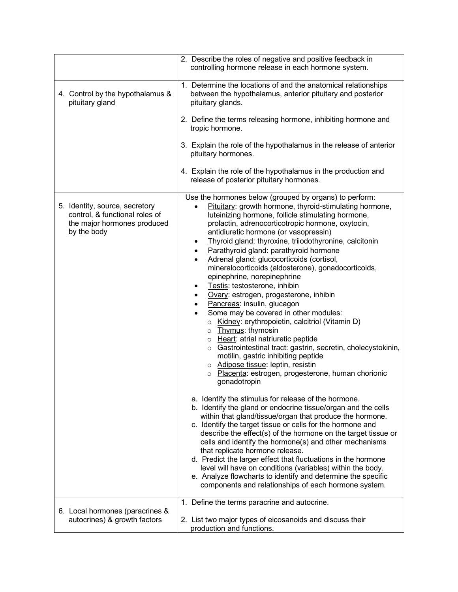|                                                                                                                | 2. Describe the roles of negative and positive feedback in<br>controlling hormone release in each hormone system.                                                                                                                                                                                                                                                                                                                                                                                                                                                                                                                                                                                                                                                                                                                                                                                                                                                                                                                                                                                                                                                                                                                                                                                                                                                                                                                                                                                                                                                                                                                                                                                                    |
|----------------------------------------------------------------------------------------------------------------|----------------------------------------------------------------------------------------------------------------------------------------------------------------------------------------------------------------------------------------------------------------------------------------------------------------------------------------------------------------------------------------------------------------------------------------------------------------------------------------------------------------------------------------------------------------------------------------------------------------------------------------------------------------------------------------------------------------------------------------------------------------------------------------------------------------------------------------------------------------------------------------------------------------------------------------------------------------------------------------------------------------------------------------------------------------------------------------------------------------------------------------------------------------------------------------------------------------------------------------------------------------------------------------------------------------------------------------------------------------------------------------------------------------------------------------------------------------------------------------------------------------------------------------------------------------------------------------------------------------------------------------------------------------------------------------------------------------------|
| 4. Control by the hypothalamus &<br>pituitary gland                                                            | 1. Determine the locations of and the anatomical relationships<br>between the hypothalamus, anterior pituitary and posterior<br>pituitary glands.                                                                                                                                                                                                                                                                                                                                                                                                                                                                                                                                                                                                                                                                                                                                                                                                                                                                                                                                                                                                                                                                                                                                                                                                                                                                                                                                                                                                                                                                                                                                                                    |
|                                                                                                                | 2. Define the terms releasing hormone, inhibiting hormone and<br>tropic hormone.                                                                                                                                                                                                                                                                                                                                                                                                                                                                                                                                                                                                                                                                                                                                                                                                                                                                                                                                                                                                                                                                                                                                                                                                                                                                                                                                                                                                                                                                                                                                                                                                                                     |
|                                                                                                                | 3. Explain the role of the hypothalamus in the release of anterior<br>pituitary hormones.                                                                                                                                                                                                                                                                                                                                                                                                                                                                                                                                                                                                                                                                                                                                                                                                                                                                                                                                                                                                                                                                                                                                                                                                                                                                                                                                                                                                                                                                                                                                                                                                                            |
|                                                                                                                | 4. Explain the role of the hypothalamus in the production and<br>release of posterior pituitary hormones.                                                                                                                                                                                                                                                                                                                                                                                                                                                                                                                                                                                                                                                                                                                                                                                                                                                                                                                                                                                                                                                                                                                                                                                                                                                                                                                                                                                                                                                                                                                                                                                                            |
| 5. Identity, source, secretory<br>control, & functional roles of<br>the major hormones produced<br>by the body | Use the hormones below (grouped by organs) to perform:<br>Pituitary: growth hormone, thyroid-stimulating hormone,<br>luteinizing hormone, follicle stimulating hormone,<br>prolactin, adrenocorticotropic hormone, oxytocin,<br>antidiuretic hormone (or vasopressin)<br>Thyroid gland: thyroxine, triiodothyronine, calcitonin<br>Parathyroid gland: parathyroid hormone<br>Adrenal gland: glucocorticoids (cortisol,<br>$\bullet$<br>mineralocorticoids (aldosterone), gonadocorticoids,<br>epinephrine, norepinephrine<br>Testis: testosterone, inhibin<br>Ovary: estrogen, progesterone, inhibin<br>Pancreas: insulin, glucagon<br>$\bullet$<br>Some may be covered in other modules:<br>$\bullet$<br>o Kidney: erythropoietin, calcitriol (Vitamin D)<br>o Thymus: thymosin<br>o Heart: atrial natriuretic peptide<br>o Gastrointestinal tract: gastrin, secretin, cholecystokinin,<br>motilin, gastric inhibiting peptide<br>o Adipose tissue: leptin, resistin<br>o Placenta: estrogen, progesterone, human chorionic<br>gonadotropin<br>a. Identify the stimulus for release of the hormone.<br>b. Identify the gland or endocrine tissue/organ and the cells<br>within that gland/tissue/organ that produce the hormone.<br>c. Identify the target tissue or cells for the hormone and<br>describe the effect(s) of the hormone on the target tissue or<br>cells and identify the hormone(s) and other mechanisms<br>that replicate hormone release.<br>d. Predict the larger effect that fluctuations in the hormone<br>level will have on conditions (variables) within the body.<br>e. Analyze flowcharts to identify and determine the specific<br>components and relationships of each hormone system. |
| 6. Local hormones (paracrines &<br>autocrines) & growth factors                                                | 1. Define the terms paracrine and autocrine.<br>2. List two major types of eicosanoids and discuss their                                                                                                                                                                                                                                                                                                                                                                                                                                                                                                                                                                                                                                                                                                                                                                                                                                                                                                                                                                                                                                                                                                                                                                                                                                                                                                                                                                                                                                                                                                                                                                                                             |
|                                                                                                                | production and functions.                                                                                                                                                                                                                                                                                                                                                                                                                                                                                                                                                                                                                                                                                                                                                                                                                                                                                                                                                                                                                                                                                                                                                                                                                                                                                                                                                                                                                                                                                                                                                                                                                                                                                            |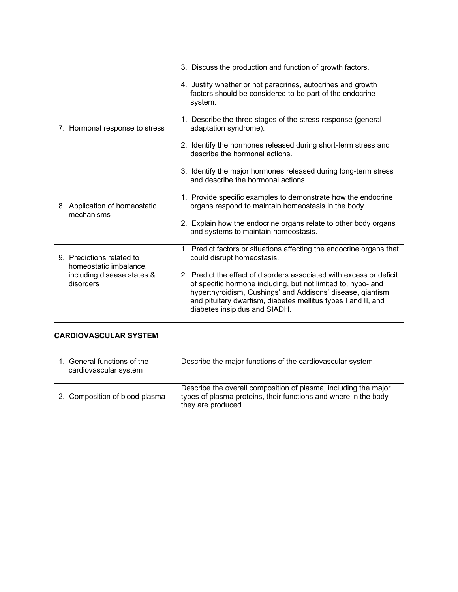|                                                     | 3. Discuss the production and function of growth factors.<br>4. Justify whether or not paracrines, autocrines and growth<br>factors should be considered to be part of the endocrine<br>system.                                                                                                      |
|-----------------------------------------------------|------------------------------------------------------------------------------------------------------------------------------------------------------------------------------------------------------------------------------------------------------------------------------------------------------|
| 7. Hormonal response to stress                      | 1. Describe the three stages of the stress response (general<br>adaptation syndrome).                                                                                                                                                                                                                |
|                                                     | 2. Identify the hormones released during short-term stress and<br>describe the hormonal actions.                                                                                                                                                                                                     |
|                                                     | 3. Identify the major hormones released during long-term stress<br>and describe the hormonal actions.                                                                                                                                                                                                |
| 8. Application of homeostatic<br>mechanisms         | 1. Provide specific examples to demonstrate how the endocrine<br>organs respond to maintain homeostasis in the body.                                                                                                                                                                                 |
|                                                     | 2. Explain how the endocrine organs relate to other body organs<br>and systems to maintain homeostasis.                                                                                                                                                                                              |
| 9. Predictions related to<br>homeostatic imbalance, | 1. Predict factors or situations affecting the endocrine organs that<br>could disrupt homeostasis.                                                                                                                                                                                                   |
| including disease states &<br>disorders             | 2. Predict the effect of disorders associated with excess or deficit<br>of specific hormone including, but not limited to, hypo- and<br>hyperthyroidism, Cushings' and Addisons' disease, giantism<br>and pituitary dwarfism, diabetes mellitus types I and II, and<br>diabetes insipidus and SIADH. |

### **CARDIOVASCULAR SYSTEM**

| 1. General functions of the<br>cardiovascular system | Describe the major functions of the cardiovascular system.                                                                                               |
|------------------------------------------------------|----------------------------------------------------------------------------------------------------------------------------------------------------------|
| 2. Composition of blood plasma                       | Describe the overall composition of plasma, including the major<br>types of plasma proteins, their functions and where in the body<br>they are produced. |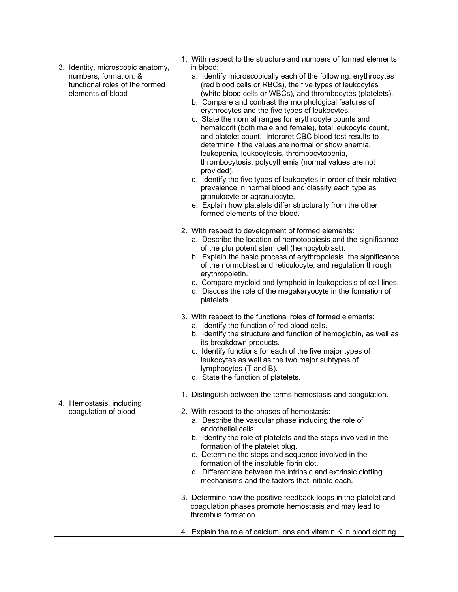| 3. Identity, microscopic anatomy,<br>numbers, formation, &<br>functional roles of the formed<br>elements of blood | 1. With respect to the structure and numbers of formed elements<br>in blood:<br>a. Identify microscopically each of the following: erythrocytes<br>(red blood cells or RBCs), the five types of leukocytes<br>(white blood cells or WBCs), and thrombocytes (platelets).<br>b. Compare and contrast the morphological features of<br>erythrocytes and the five types of leukocytes.<br>c. State the normal ranges for erythrocyte counts and<br>hematocrit (both male and female), total leukocyte count,<br>and platelet count. Interpret CBC blood test results to<br>determine if the values are normal or show anemia,<br>leukopenia, leukocytosis, thrombocytopenia,<br>thrombocytosis, polycythemia (normal values are not<br>provided).<br>d. Identify the five types of leukocytes in order of their relative<br>prevalence in normal blood and classify each type as<br>granulocyte or agranulocyte.<br>e. Explain how platelets differ structurally from the other<br>formed elements of the blood. |
|-------------------------------------------------------------------------------------------------------------------|---------------------------------------------------------------------------------------------------------------------------------------------------------------------------------------------------------------------------------------------------------------------------------------------------------------------------------------------------------------------------------------------------------------------------------------------------------------------------------------------------------------------------------------------------------------------------------------------------------------------------------------------------------------------------------------------------------------------------------------------------------------------------------------------------------------------------------------------------------------------------------------------------------------------------------------------------------------------------------------------------------------|
|                                                                                                                   | 2. With respect to development of formed elements:<br>a. Describe the location of hemotopoiesis and the significance<br>of the pluripotent stem cell (hemocytoblast).<br>b. Explain the basic process of erythropoiesis, the significance<br>of the normoblast and reticulocyte, and regulation through<br>erythropoietin.<br>c. Compare myeloid and lymphoid in leukopoiesis of cell lines.<br>d. Discuss the role of the megakaryocyte in the formation of<br>platelets.                                                                                                                                                                                                                                                                                                                                                                                                                                                                                                                                    |
|                                                                                                                   | 3. With respect to the functional roles of formed elements:<br>a. Identify the function of red blood cells.<br>b. Identify the structure and function of hemoglobin, as well as<br>its breakdown products.<br>c. Identify functions for each of the five major types of<br>leukocytes as well as the two major subtypes of<br>lymphocytes (T and B).<br>d. State the function of platelets.                                                                                                                                                                                                                                                                                                                                                                                                                                                                                                                                                                                                                   |
| 4. Hemostasis, including<br>coagulation of blood                                                                  | 1. Distinguish between the terms hemostasis and coagulation.<br>2. With respect to the phases of hemostasis:<br>a. Describe the vascular phase including the role of<br>endothelial cells.<br>b. Identify the role of platelets and the steps involved in the<br>formation of the platelet plug.<br>c. Determine the steps and sequence involved in the<br>formation of the insoluble fibrin clot.<br>d. Differentiate between the intrinsic and extrinsic clotting<br>mechanisms and the factors that initiate each.<br>3. Determine how the positive feedback loops in the platelet and<br>coagulation phases promote hemostasis and may lead to<br>thrombus formation.<br>4. Explain the role of calcium ions and vitamin K in blood clotting.                                                                                                                                                                                                                                                             |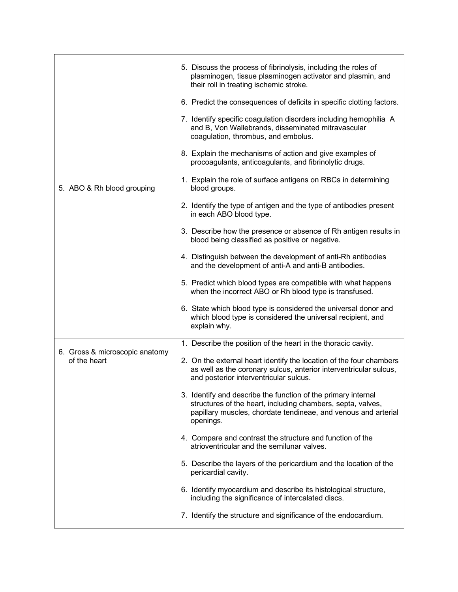|                                                | 5. Discuss the process of fibrinolysis, including the roles of<br>plasminogen, tissue plasminogen activator and plasmin, and<br>their roll in treating ischemic stroke.                                                                 |
|------------------------------------------------|-----------------------------------------------------------------------------------------------------------------------------------------------------------------------------------------------------------------------------------------|
|                                                | 6. Predict the consequences of deficits in specific clotting factors.<br>7. Identify specific coagulation disorders including hemophilia A<br>and B, Von Wallebrands, disseminated mitravascular<br>coagulation, thrombus, and embolus. |
|                                                | 8. Explain the mechanisms of action and give examples of<br>procoagulants, anticoagulants, and fibrinolytic drugs.                                                                                                                      |
| 5. ABO & Rh blood grouping                     | 1. Explain the role of surface antigens on RBCs in determining<br>blood groups.                                                                                                                                                         |
|                                                | 2. Identify the type of antigen and the type of antibodies present<br>in each ABO blood type.                                                                                                                                           |
|                                                | 3. Describe how the presence or absence of Rh antigen results in<br>blood being classified as positive or negative.                                                                                                                     |
|                                                | 4. Distinguish between the development of anti-Rh antibodies<br>and the development of anti-A and anti-B antibodies.                                                                                                                    |
|                                                | 5. Predict which blood types are compatible with what happens<br>when the incorrect ABO or Rh blood type is transfused.                                                                                                                 |
|                                                | 6. State which blood type is considered the universal donor and<br>which blood type is considered the universal recipient, and<br>explain why.                                                                                          |
|                                                | 1. Describe the position of the heart in the thoracic cavity.                                                                                                                                                                           |
| 6. Gross & microscopic anatomy<br>of the heart | 2. On the external heart identify the location of the four chambers<br>as well as the coronary sulcus, anterior interventricular sulcus,<br>and posterior interventricular sulcus.                                                      |
|                                                | 3. Identify and describe the function of the primary internal<br>structures of the heart, including chambers, septa, valves,<br>papillary muscles, chordate tendineae, and venous and arterial<br>openings.                             |
|                                                | 4. Compare and contrast the structure and function of the<br>atrioventricular and the semilunar valves.                                                                                                                                 |
|                                                | 5. Describe the layers of the pericardium and the location of the<br>pericardial cavity.                                                                                                                                                |
|                                                | 6. Identify myocardium and describe its histological structure,<br>including the significance of intercalated discs.                                                                                                                    |
|                                                | 7. Identify the structure and significance of the endocardium.                                                                                                                                                                          |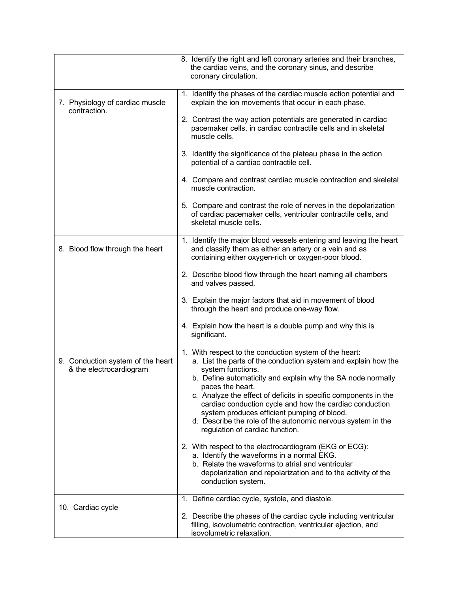|                                                              | 8. Identify the right and left coronary arteries and their branches,<br>the cardiac veins, and the coronary sinus, and describe<br>coronary circulation.                                                                                                                                                                                                                                                                                                                                                        |
|--------------------------------------------------------------|-----------------------------------------------------------------------------------------------------------------------------------------------------------------------------------------------------------------------------------------------------------------------------------------------------------------------------------------------------------------------------------------------------------------------------------------------------------------------------------------------------------------|
| 7. Physiology of cardiac muscle<br>contraction.              | 1. Identify the phases of the cardiac muscle action potential and<br>explain the ion movements that occur in each phase.                                                                                                                                                                                                                                                                                                                                                                                        |
|                                                              | 2. Contrast the way action potentials are generated in cardiac<br>pacemaker cells, in cardiac contractile cells and in skeletal<br>muscle cells.                                                                                                                                                                                                                                                                                                                                                                |
|                                                              | 3. Identify the significance of the plateau phase in the action<br>potential of a cardiac contractile cell.                                                                                                                                                                                                                                                                                                                                                                                                     |
|                                                              | 4. Compare and contrast cardiac muscle contraction and skeletal<br>muscle contraction.                                                                                                                                                                                                                                                                                                                                                                                                                          |
|                                                              | 5. Compare and contrast the role of nerves in the depolarization<br>of cardiac pacemaker cells, ventricular contractile cells, and<br>skeletal muscle cells.                                                                                                                                                                                                                                                                                                                                                    |
| 8. Blood flow through the heart                              | 1. Identify the major blood vessels entering and leaving the heart<br>and classify them as either an artery or a vein and as<br>containing either oxygen-rich or oxygen-poor blood.                                                                                                                                                                                                                                                                                                                             |
|                                                              | 2. Describe blood flow through the heart naming all chambers<br>and valves passed.                                                                                                                                                                                                                                                                                                                                                                                                                              |
|                                                              | 3. Explain the major factors that aid in movement of blood<br>through the heart and produce one-way flow.                                                                                                                                                                                                                                                                                                                                                                                                       |
|                                                              | 4. Explain how the heart is a double pump and why this is<br>significant.                                                                                                                                                                                                                                                                                                                                                                                                                                       |
| 9. Conduction system of the heart<br>& the electrocardiogram | 1. With respect to the conduction system of the heart:<br>a. List the parts of the conduction system and explain how the<br>system functions.<br>b. Define automaticity and explain why the SA node normally<br>paces the heart.<br>c. Analyze the effect of deficits in specific components in the<br>cardiac conduction cycle and how the cardiac conduction<br>system produces efficient pumping of blood.<br>d. Describe the role of the autonomic nervous system in the<br>regulation of cardiac function. |
|                                                              | 2. With respect to the electrocardiogram (EKG or ECG):<br>a. Identify the waveforms in a normal EKG.<br>b. Relate the waveforms to atrial and ventricular<br>depolarization and repolarization and to the activity of the<br>conduction system.                                                                                                                                                                                                                                                                 |
| 10. Cardiac cycle                                            | 1. Define cardiac cycle, systole, and diastole.                                                                                                                                                                                                                                                                                                                                                                                                                                                                 |
|                                                              | 2. Describe the phases of the cardiac cycle including ventricular<br>filling, isovolumetric contraction, ventricular ejection, and<br>isovolumetric relaxation.                                                                                                                                                                                                                                                                                                                                                 |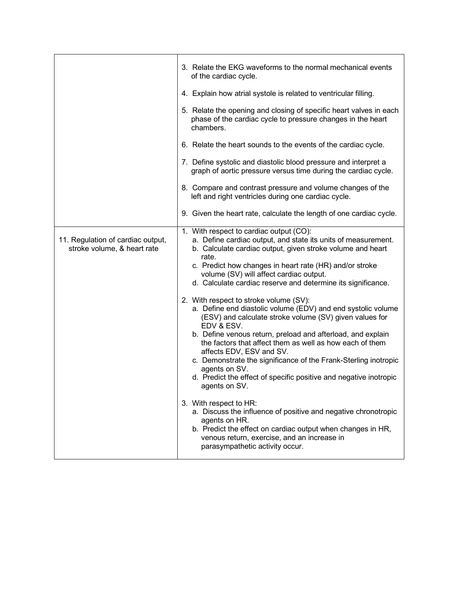|                                                                  | 3. Relate the EKG waveforms to the normal mechanical events<br>of the cardiac cycle.                                                                                                                                                                                                                                                                                                                                                                                                                                                                                                                                                                                                                                                                                                                                                                                      |
|------------------------------------------------------------------|---------------------------------------------------------------------------------------------------------------------------------------------------------------------------------------------------------------------------------------------------------------------------------------------------------------------------------------------------------------------------------------------------------------------------------------------------------------------------------------------------------------------------------------------------------------------------------------------------------------------------------------------------------------------------------------------------------------------------------------------------------------------------------------------------------------------------------------------------------------------------|
|                                                                  | 4. Explain how atrial systole is related to ventricular filling.                                                                                                                                                                                                                                                                                                                                                                                                                                                                                                                                                                                                                                                                                                                                                                                                          |
|                                                                  | 5. Relate the opening and closing of specific heart valves in each<br>phase of the cardiac cycle to pressure changes in the heart<br>chambers.                                                                                                                                                                                                                                                                                                                                                                                                                                                                                                                                                                                                                                                                                                                            |
|                                                                  | 6. Relate the heart sounds to the events of the cardiac cycle.                                                                                                                                                                                                                                                                                                                                                                                                                                                                                                                                                                                                                                                                                                                                                                                                            |
|                                                                  | 7. Define systolic and diastolic blood pressure and interpret a<br>graph of aortic pressure versus time during the cardiac cycle.                                                                                                                                                                                                                                                                                                                                                                                                                                                                                                                                                                                                                                                                                                                                         |
|                                                                  | 8. Compare and contrast pressure and volume changes of the<br>left and right ventricles during one cardiac cycle.                                                                                                                                                                                                                                                                                                                                                                                                                                                                                                                                                                                                                                                                                                                                                         |
|                                                                  | 9. Given the heart rate, calculate the length of one cardiac cycle.                                                                                                                                                                                                                                                                                                                                                                                                                                                                                                                                                                                                                                                                                                                                                                                                       |
| 11. Regulation of cardiac output,<br>stroke volume, & heart rate | 1. With respect to cardiac output (CO):<br>a. Define cardiac output, and state its units of measurement.<br>b. Calculate cardiac output, given stroke volume and heart<br>rate.<br>c. Predict how changes in heart rate (HR) and/or stroke<br>volume (SV) will affect cardiac output.<br>d. Calculate cardiac reserve and determine its significance.<br>2. With respect to stroke volume (SV):<br>a. Define end diastolic volume (EDV) and end systolic volume<br>(ESV) and calculate stroke volume (SV) given values for<br>EDV & ESV.<br>b. Define venous return, preload and afterload, and explain<br>the factors that affect them as well as how each of them<br>affects EDV, ESV and SV.<br>c. Demonstrate the significance of the Frank-Sterling inotropic<br>agents on SV.<br>d. Predict the effect of specific positive and negative inotropic<br>agents on SV. |
|                                                                  | 3. With respect to HR:<br>a. Discuss the influence of positive and negative chronotropic<br>agents on HR.<br>b. Predict the effect on cardiac output when changes in HR,<br>venous return, exercise, and an increase in<br>parasympathetic activity occur.                                                                                                                                                                                                                                                                                                                                                                                                                                                                                                                                                                                                                |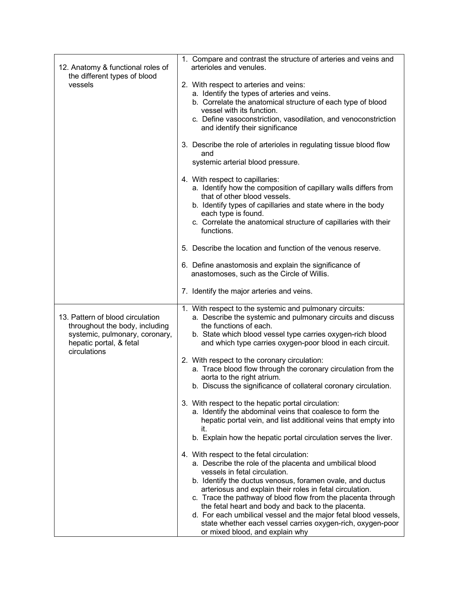| 12. Anatomy & functional roles of                                                                                                               | 1. Compare and contrast the structure of arteries and veins and<br>arterioles and venules.                                                                                                                                                                                                                                                                                                                                                                                                                                                                |
|-------------------------------------------------------------------------------------------------------------------------------------------------|-----------------------------------------------------------------------------------------------------------------------------------------------------------------------------------------------------------------------------------------------------------------------------------------------------------------------------------------------------------------------------------------------------------------------------------------------------------------------------------------------------------------------------------------------------------|
| the different types of blood<br>vessels                                                                                                         | 2. With respect to arteries and veins:<br>a. Identify the types of arteries and veins.<br>b. Correlate the anatomical structure of each type of blood<br>vessel with its function.<br>c. Define vasoconstriction, vasodilation, and venoconstriction<br>and identify their significance                                                                                                                                                                                                                                                                   |
|                                                                                                                                                 | 3. Describe the role of arterioles in regulating tissue blood flow<br>and<br>systemic arterial blood pressure.                                                                                                                                                                                                                                                                                                                                                                                                                                            |
|                                                                                                                                                 | 4. With respect to capillaries:<br>a. Identify how the composition of capillary walls differs from<br>that of other blood vessels.<br>b. Identify types of capillaries and state where in the body<br>each type is found.<br>c. Correlate the anatomical structure of capillaries with their<br>functions.                                                                                                                                                                                                                                                |
|                                                                                                                                                 | 5. Describe the location and function of the venous reserve.                                                                                                                                                                                                                                                                                                                                                                                                                                                                                              |
|                                                                                                                                                 | 6. Define anastomosis and explain the significance of<br>anastomoses, such as the Circle of Willis.                                                                                                                                                                                                                                                                                                                                                                                                                                                       |
|                                                                                                                                                 | 7. Identify the major arteries and veins.                                                                                                                                                                                                                                                                                                                                                                                                                                                                                                                 |
| 13. Pattern of blood circulation<br>throughout the body, including<br>systemic, pulmonary, coronary,<br>hepatic portal, & fetal<br>circulations | 1. With respect to the systemic and pulmonary circuits:<br>a. Describe the systemic and pulmonary circuits and discuss<br>the functions of each.<br>b. State which blood vessel type carries oxygen-rich blood<br>and which type carries oxygen-poor blood in each circuit.<br>2. With respect to the coronary circulation:                                                                                                                                                                                                                               |
|                                                                                                                                                 | a. Trace blood flow through the coronary circulation from the<br>aorta to the right atrium.                                                                                                                                                                                                                                                                                                                                                                                                                                                               |
|                                                                                                                                                 | b. Discuss the significance of collateral coronary circulation.<br>3. With respect to the hepatic portal circulation:<br>a. Identify the abdominal veins that coalesce to form the<br>hepatic portal vein, and list additional veins that empty into<br>it.<br>b. Explain how the hepatic portal circulation serves the liver.                                                                                                                                                                                                                            |
|                                                                                                                                                 | 4. With respect to the fetal circulation:<br>a. Describe the role of the placenta and umbilical blood<br>vessels in fetal circulation.<br>b. Identify the ductus venosus, foramen ovale, and ductus<br>arteriosus and explain their roles in fetal circulation.<br>c. Trace the pathway of blood flow from the placenta through<br>the fetal heart and body and back to the placenta.<br>d. For each umbilical vessel and the major fetal blood vessels,<br>state whether each vessel carries oxygen-rich, oxygen-poor<br>or mixed blood, and explain why |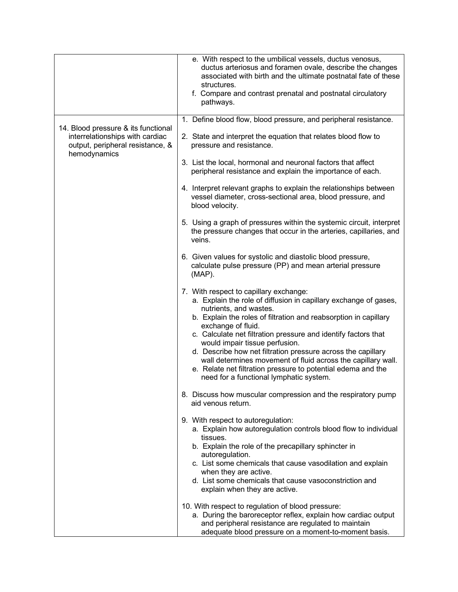|                                                                                                                            | e. With respect to the umbilical vessels, ductus venosus,<br>ductus arteriosus and foramen ovale, describe the changes<br>associated with birth and the ultimate postnatal fate of these<br>structures.<br>f. Compare and contrast prenatal and postnatal circulatory<br>pathways.                                                                                                                                                                                                                                                                                            |
|----------------------------------------------------------------------------------------------------------------------------|-------------------------------------------------------------------------------------------------------------------------------------------------------------------------------------------------------------------------------------------------------------------------------------------------------------------------------------------------------------------------------------------------------------------------------------------------------------------------------------------------------------------------------------------------------------------------------|
|                                                                                                                            | 1. Define blood flow, blood pressure, and peripheral resistance.                                                                                                                                                                                                                                                                                                                                                                                                                                                                                                              |
| 14. Blood pressure & its functional<br>interrelationships with cardiac<br>output, peripheral resistance, &<br>hemodynamics | 2. State and interpret the equation that relates blood flow to<br>pressure and resistance.                                                                                                                                                                                                                                                                                                                                                                                                                                                                                    |
|                                                                                                                            | 3. List the local, hormonal and neuronal factors that affect<br>peripheral resistance and explain the importance of each.                                                                                                                                                                                                                                                                                                                                                                                                                                                     |
|                                                                                                                            | 4. Interpret relevant graphs to explain the relationships between<br>vessel diameter, cross-sectional area, blood pressure, and<br>blood velocity.                                                                                                                                                                                                                                                                                                                                                                                                                            |
|                                                                                                                            | 5. Using a graph of pressures within the systemic circuit, interpret<br>the pressure changes that occur in the arteries, capillaries, and<br>veins.                                                                                                                                                                                                                                                                                                                                                                                                                           |
|                                                                                                                            | 6. Given values for systolic and diastolic blood pressure,<br>calculate pulse pressure (PP) and mean arterial pressure<br>$(MAP)$ .                                                                                                                                                                                                                                                                                                                                                                                                                                           |
|                                                                                                                            | 7. With respect to capillary exchange:<br>a. Explain the role of diffusion in capillary exchange of gases,<br>nutrients, and wastes.<br>b. Explain the roles of filtration and reabsorption in capillary<br>exchange of fluid.<br>c. Calculate net filtration pressure and identify factors that<br>would impair tissue perfusion.<br>d. Describe how net filtration pressure across the capillary<br>wall determines movement of fluid across the capillary wall.<br>e. Relate net filtration pressure to potential edema and the<br>need for a functional lymphatic system. |
|                                                                                                                            | 8. Discuss how muscular compression and the respiratory pump<br>aid venous return.                                                                                                                                                                                                                                                                                                                                                                                                                                                                                            |
|                                                                                                                            | 9. With respect to autoregulation:<br>a. Explain how autoregulation controls blood flow to individual<br>tissues.<br>b. Explain the role of the precapillary sphincter in                                                                                                                                                                                                                                                                                                                                                                                                     |
|                                                                                                                            | autoregulation.<br>c. List some chemicals that cause vasodilation and explain<br>when they are active.<br>d. List some chemicals that cause vasoconstriction and<br>explain when they are active.                                                                                                                                                                                                                                                                                                                                                                             |
|                                                                                                                            | 10. With respect to regulation of blood pressure:<br>a. During the baroreceptor reflex, explain how cardiac output<br>and peripheral resistance are regulated to maintain<br>adequate blood pressure on a moment-to-moment basis.                                                                                                                                                                                                                                                                                                                                             |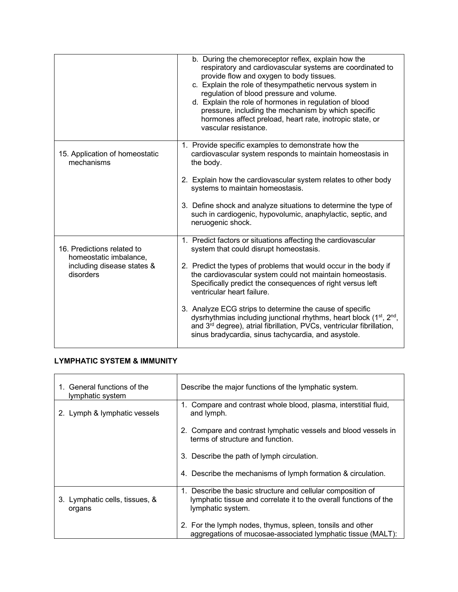|                                                      | b. During the chemoreceptor reflex, explain how the<br>respiratory and cardiovascular systems are coordinated to<br>provide flow and oxygen to body tissues.<br>c. Explain the role of thesympathetic nervous system in<br>regulation of blood pressure and volume.<br>d. Explain the role of hormones in regulation of blood<br>pressure, including the mechanism by which specific<br>hormones affect preload, heart rate, inotropic state, or<br>vascular resistance. |
|------------------------------------------------------|--------------------------------------------------------------------------------------------------------------------------------------------------------------------------------------------------------------------------------------------------------------------------------------------------------------------------------------------------------------------------------------------------------------------------------------------------------------------------|
| 15. Application of homeostatic<br>mechanisms         | 1. Provide specific examples to demonstrate how the<br>cardiovascular system responds to maintain homeostasis in<br>the body.                                                                                                                                                                                                                                                                                                                                            |
|                                                      | 2. Explain how the cardiovascular system relates to other body<br>systems to maintain homeostasis.                                                                                                                                                                                                                                                                                                                                                                       |
|                                                      | 3. Define shock and analyze situations to determine the type of<br>such in cardiogenic, hypovolumic, anaphylactic, septic, and<br>neruogenic shock.                                                                                                                                                                                                                                                                                                                      |
| 16. Predictions related to<br>homeostatic imbalance, | 1. Predict factors or situations affecting the cardiovascular<br>system that could disrupt homeostasis.                                                                                                                                                                                                                                                                                                                                                                  |
| including disease states &<br>disorders              | 2. Predict the types of problems that would occur in the body if<br>the cardiovascular system could not maintain homeostasis.<br>Specifically predict the consequences of right versus left<br>ventricular heart failure.                                                                                                                                                                                                                                                |
|                                                      | 3. Analyze ECG strips to determine the cause of specific<br>dysrhythmias including junctional rhythms, heart block (1 <sup>st</sup> , 2 <sup>nd</sup> ,<br>and 3 <sup>rd</sup> degree), atrial fibrillation, PVCs, ventricular fibrillation,<br>sinus bradycardia, sinus tachycardia, and asystole.                                                                                                                                                                      |

### **LYMPHATIC SYSTEM & IMMUNITY**

| 1. General functions of the<br>lymphatic system | Describe the major functions of the lymphatic system.                                                                                                 |
|-------------------------------------------------|-------------------------------------------------------------------------------------------------------------------------------------------------------|
| 2. Lymph & lymphatic vessels                    | 1. Compare and contrast whole blood, plasma, interstitial fluid,<br>and lymph.                                                                        |
|                                                 | 2. Compare and contrast lymphatic vessels and blood vessels in<br>terms of structure and function.                                                    |
|                                                 | 3. Describe the path of lymph circulation.                                                                                                            |
|                                                 | 4. Describe the mechanisms of lymph formation & circulation.                                                                                          |
| 3. Lymphatic cells, tissues, &<br>organs        | 1. Describe the basic structure and cellular composition of<br>lymphatic tissue and correlate it to the overall functions of the<br>lymphatic system. |
|                                                 | 2. For the lymph nodes, thymus, spleen, tonsils and other<br>aggregations of mucosae-associated lymphatic tissue (MALT):                              |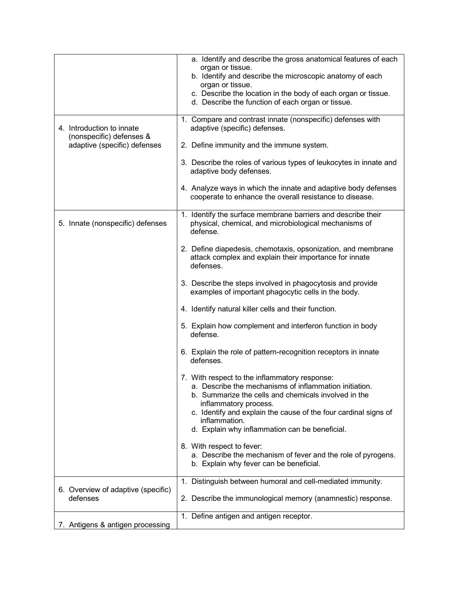|                                                       | a. Identify and describe the gross anatomical features of each<br>organ or tissue.<br>b. Identify and describe the microscopic anatomy of each<br>organ or tissue.<br>c. Describe the location in the body of each organ or tissue.<br>d. Describe the function of each organ or tissue.                                       |
|-------------------------------------------------------|--------------------------------------------------------------------------------------------------------------------------------------------------------------------------------------------------------------------------------------------------------------------------------------------------------------------------------|
| 4. Introduction to innate<br>(nonspecific) defenses & | 1. Compare and contrast innate (nonspecific) defenses with<br>adaptive (specific) defenses.                                                                                                                                                                                                                                    |
| adaptive (specific) defenses                          | 2. Define immunity and the immune system.                                                                                                                                                                                                                                                                                      |
|                                                       | 3. Describe the roles of various types of leukocytes in innate and<br>adaptive body defenses.                                                                                                                                                                                                                                  |
|                                                       | 4. Analyze ways in which the innate and adaptive body defenses<br>cooperate to enhance the overall resistance to disease.                                                                                                                                                                                                      |
| 5. Innate (nonspecific) defenses                      | 1. Identify the surface membrane barriers and describe their<br>physical, chemical, and microbiological mechanisms of<br>defense.                                                                                                                                                                                              |
|                                                       | 2. Define diapedesis, chemotaxis, opsonization, and membrane<br>attack complex and explain their importance for innate<br>defenses.                                                                                                                                                                                            |
|                                                       | 3. Describe the steps involved in phagocytosis and provide<br>examples of important phagocytic cells in the body.                                                                                                                                                                                                              |
|                                                       | 4. Identify natural killer cells and their function.                                                                                                                                                                                                                                                                           |
|                                                       | 5. Explain how complement and interferon function in body<br>defense.                                                                                                                                                                                                                                                          |
|                                                       | 6. Explain the role of pattern-recognition receptors in innate<br>defenses.                                                                                                                                                                                                                                                    |
|                                                       | 7. With respect to the inflammatory response:<br>a. Describe the mechanisms of inflammation initiation.<br>b. Summarize the cells and chemicals involved in the<br>inflammatory process.<br>c. Identify and explain the cause of the four cardinal signs of<br>inflammation.<br>d. Explain why inflammation can be beneficial. |
|                                                       | 8. With respect to fever:<br>a. Describe the mechanism of fever and the role of pyrogens.<br>b. Explain why fever can be beneficial.                                                                                                                                                                                           |
| 6. Overview of adaptive (specific)                    | 1. Distinguish between humoral and cell-mediated immunity.                                                                                                                                                                                                                                                                     |
| defenses                                              | 2. Describe the immunological memory (anamnestic) response.                                                                                                                                                                                                                                                                    |
| 7. Antigens & antigen processing                      | 1. Define antigen and antigen receptor.                                                                                                                                                                                                                                                                                        |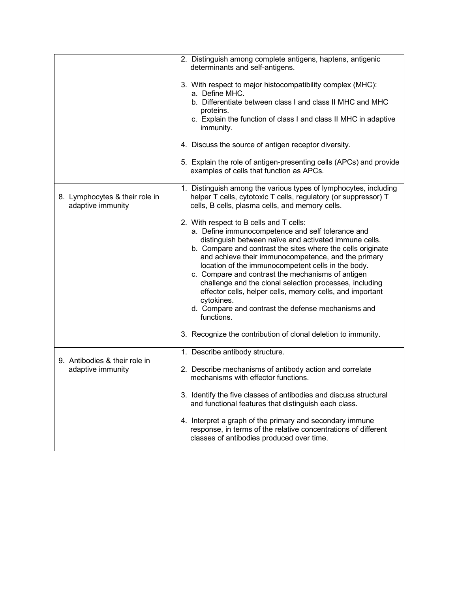|                                                     | 2. Distinguish among complete antigens, haptens, antigenic<br>determinants and self-antigens.                                                                                                                                                                                                                                                                                                                                                                                                                                                                                                    |
|-----------------------------------------------------|--------------------------------------------------------------------------------------------------------------------------------------------------------------------------------------------------------------------------------------------------------------------------------------------------------------------------------------------------------------------------------------------------------------------------------------------------------------------------------------------------------------------------------------------------------------------------------------------------|
|                                                     | 3. With respect to major histocompatibility complex (MHC):<br>a. Define MHC.<br>b. Differentiate between class I and class II MHC and MHC<br>proteins.<br>c. Explain the function of class I and class II MHC in adaptive<br>immunity.                                                                                                                                                                                                                                                                                                                                                           |
|                                                     | 4. Discuss the source of antigen receptor diversity.                                                                                                                                                                                                                                                                                                                                                                                                                                                                                                                                             |
|                                                     | 5. Explain the role of antigen-presenting cells (APCs) and provide<br>examples of cells that function as APCs.                                                                                                                                                                                                                                                                                                                                                                                                                                                                                   |
| 8. Lymphocytes & their role in<br>adaptive immunity | 1. Distinguish among the various types of lymphocytes, including<br>helper T cells, cytotoxic T cells, regulatory (or suppressor) T<br>cells, B cells, plasma cells, and memory cells.                                                                                                                                                                                                                                                                                                                                                                                                           |
|                                                     | 2. With respect to B cells and T cells:<br>a. Define immunocompetence and self tolerance and<br>distinguish between naïve and activated immune cells.<br>b. Compare and contrast the sites where the cells originate<br>and achieve their immunocompetence, and the primary<br>location of the immunocompetent cells in the body.<br>c. Compare and contrast the mechanisms of antigen<br>challenge and the clonal selection processes, including<br>effector cells, helper cells, memory cells, and important<br>cytokines.<br>d. Compare and contrast the defense mechanisms and<br>functions. |
|                                                     | 3. Recognize the contribution of clonal deletion to immunity.                                                                                                                                                                                                                                                                                                                                                                                                                                                                                                                                    |
| 9. Antibodies & their role in<br>adaptive immunity  | 1. Describe antibody structure.<br>2. Describe mechanisms of antibody action and correlate<br>mechanisms with effector functions.                                                                                                                                                                                                                                                                                                                                                                                                                                                                |
|                                                     | 3. Identify the five classes of antibodies and discuss structural<br>and functional features that distinguish each class.                                                                                                                                                                                                                                                                                                                                                                                                                                                                        |
|                                                     | 4. Interpret a graph of the primary and secondary immune<br>response, in terms of the relative concentrations of different<br>classes of antibodies produced over time.                                                                                                                                                                                                                                                                                                                                                                                                                          |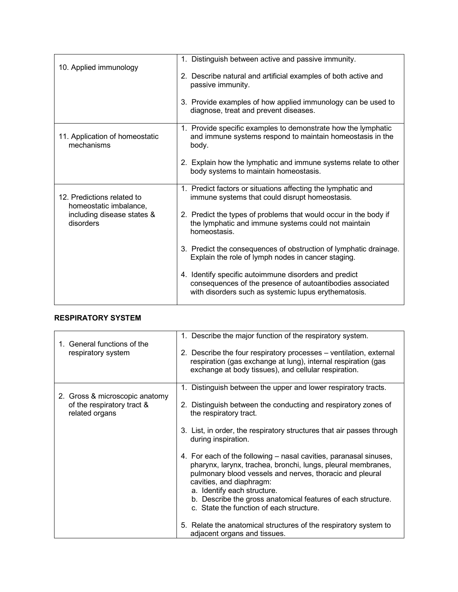| 10. Applied immunology                               | 1. Distinguish between active and passive immunity.<br>2. Describe natural and artificial examples of both active and<br>passive immunity.                                 |
|------------------------------------------------------|----------------------------------------------------------------------------------------------------------------------------------------------------------------------------|
|                                                      | 3. Provide examples of how applied immunology can be used to<br>diagnose, treat and prevent diseases.                                                                      |
| 11. Application of homeostatic<br>mechanisms         | 1. Provide specific examples to demonstrate how the lymphatic<br>and immune systems respond to maintain homeostasis in the<br>body.                                        |
|                                                      | 2. Explain how the lymphatic and immune systems relate to other<br>body systems to maintain homeostasis.                                                                   |
| 12. Predictions related to<br>homeostatic imbalance, | 1. Predict factors or situations affecting the lymphatic and<br>immune systems that could disrupt homeostasis.                                                             |
| including disease states &<br>disorders              | 2. Predict the types of problems that would occur in the body if<br>the lymphatic and immune systems could not maintain<br>homeostasis.                                    |
|                                                      | 3. Predict the consequences of obstruction of lymphatic drainage.<br>Explain the role of lymph nodes in cancer staging.                                                    |
|                                                      | 4. Identify specific autoimmune disorders and predict<br>consequences of the presence of autoantibodies associated<br>with disorders such as systemic lupus erythematosis. |

## **RESPIRATORY SYSTEM**

| 1. General functions of the<br>respiratory system                              | 1. Describe the major function of the respiratory system.<br>2. Describe the four respiratory processes - ventilation, external<br>respiration (gas exchange at lung), internal respiration (gas<br>exchange at body tissues), and cellular respiration.                                                                                                             |
|--------------------------------------------------------------------------------|----------------------------------------------------------------------------------------------------------------------------------------------------------------------------------------------------------------------------------------------------------------------------------------------------------------------------------------------------------------------|
| 2. Gross & microscopic anatomy<br>of the respiratory tract &<br>related organs | 1. Distinguish between the upper and lower respiratory tracts.<br>2. Distinguish between the conducting and respiratory zones of<br>the respiratory tract.<br>3. List, in order, the respiratory structures that air passes through<br>during inspiration.                                                                                                           |
|                                                                                | 4. For each of the following – nasal cavities, paranasal sinuses,<br>pharynx, larynx, trachea, bronchi, lungs, pleural membranes,<br>pulmonary blood vessels and nerves, thoracic and pleural<br>cavities, and diaphragm:<br>a. Identify each structure.<br>b. Describe the gross anatomical features of each structure.<br>c. State the function of each structure. |
|                                                                                | 5. Relate the anatomical structures of the respiratory system to<br>adjacent organs and tissues.                                                                                                                                                                                                                                                                     |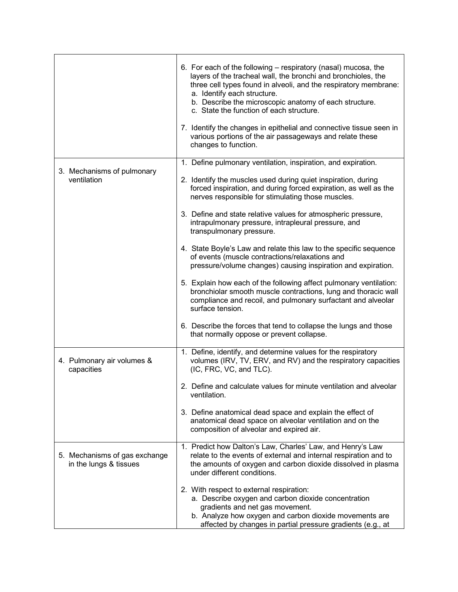|                                                         | 6. For each of the following - respiratory (nasal) mucosa, the<br>layers of the tracheal wall, the bronchi and bronchioles, the<br>three cell types found in alveoli, and the respiratory membrane:<br>a. Identify each structure.<br>b. Describe the microscopic anatomy of each structure.<br>c. State the function of each structure.<br>7. Identify the changes in epithelial and connective tissue seen in<br>various portions of the air passageways and relate these<br>changes to function. |
|---------------------------------------------------------|-----------------------------------------------------------------------------------------------------------------------------------------------------------------------------------------------------------------------------------------------------------------------------------------------------------------------------------------------------------------------------------------------------------------------------------------------------------------------------------------------------|
|                                                         | 1. Define pulmonary ventilation, inspiration, and expiration.                                                                                                                                                                                                                                                                                                                                                                                                                                       |
| 3. Mechanisms of pulmonary<br>ventilation               | 2. Identify the muscles used during quiet inspiration, during<br>forced inspiration, and during forced expiration, as well as the<br>nerves responsible for stimulating those muscles.                                                                                                                                                                                                                                                                                                              |
|                                                         | 3. Define and state relative values for atmospheric pressure,<br>intrapulmonary pressure, intrapleural pressure, and<br>transpulmonary pressure.                                                                                                                                                                                                                                                                                                                                                    |
|                                                         | 4. State Boyle's Law and relate this law to the specific sequence<br>of events (muscle contractions/relaxations and<br>pressure/volume changes) causing inspiration and expiration.                                                                                                                                                                                                                                                                                                                 |
|                                                         | 5. Explain how each of the following affect pulmonary ventilation:<br>bronchiolar smooth muscle contractions, lung and thoracic wall<br>compliance and recoil, and pulmonary surfactant and alveolar<br>surface tension.                                                                                                                                                                                                                                                                            |
|                                                         | 6. Describe the forces that tend to collapse the lungs and those<br>that normally oppose or prevent collapse.                                                                                                                                                                                                                                                                                                                                                                                       |
| 4. Pulmonary air volumes &<br>capacities                | 1. Define, identify, and determine values for the respiratory<br>volumes (IRV, TV, ERV, and RV) and the respiratory capacities<br>(IC, FRC, VC, and TLC).                                                                                                                                                                                                                                                                                                                                           |
|                                                         | 2. Define and calculate values for minute ventilation and alveolar<br>ventilation.                                                                                                                                                                                                                                                                                                                                                                                                                  |
|                                                         | 3. Define anatomical dead space and explain the effect of<br>anatomical dead space on alveolar ventilation and on the<br>composition of alveolar and expired air.                                                                                                                                                                                                                                                                                                                                   |
| 5. Mechanisms of gas exchange<br>in the lungs & tissues | 1. Predict how Dalton's Law, Charles' Law, and Henry's Law<br>relate to the events of external and internal respiration and to<br>the amounts of oxygen and carbon dioxide dissolved in plasma<br>under different conditions.                                                                                                                                                                                                                                                                       |
|                                                         | 2. With respect to external respiration:<br>a. Describe oxygen and carbon dioxide concentration<br>gradients and net gas movement.<br>b. Analyze how oxygen and carbon dioxide movements are<br>affected by changes in partial pressure gradients (e.g., at                                                                                                                                                                                                                                         |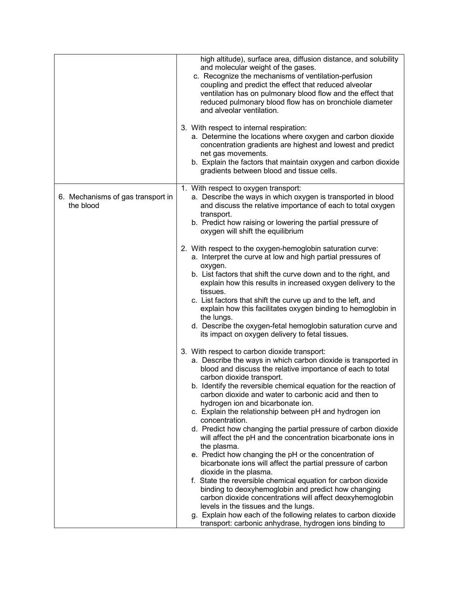|                                                | high altitude), surface area, diffusion distance, and solubility<br>and molecular weight of the gases.<br>c. Recognize the mechanisms of ventilation-perfusion<br>coupling and predict the effect that reduced alveolar<br>ventilation has on pulmonary blood flow and the effect that<br>reduced pulmonary blood flow has on bronchiole diameter<br>and alveolar ventilation.<br>3. With respect to internal respiration:<br>a. Determine the locations where oxygen and carbon dioxide<br>concentration gradients are highest and lowest and predict<br>net gas movements.<br>b. Explain the factors that maintain oxygen and carbon dioxide<br>gradients between blood and tissue cells.                                                                                                                                                                                                                                                                                                                                                                                                                           |
|------------------------------------------------|-----------------------------------------------------------------------------------------------------------------------------------------------------------------------------------------------------------------------------------------------------------------------------------------------------------------------------------------------------------------------------------------------------------------------------------------------------------------------------------------------------------------------------------------------------------------------------------------------------------------------------------------------------------------------------------------------------------------------------------------------------------------------------------------------------------------------------------------------------------------------------------------------------------------------------------------------------------------------------------------------------------------------------------------------------------------------------------------------------------------------|
| 6. Mechanisms of gas transport in<br>the blood | 1. With respect to oxygen transport:<br>a. Describe the ways in which oxygen is transported in blood<br>and discuss the relative importance of each to total oxygen<br>transport.<br>b. Predict how raising or lowering the partial pressure of<br>oxygen will shift the equilibrium                                                                                                                                                                                                                                                                                                                                                                                                                                                                                                                                                                                                                                                                                                                                                                                                                                  |
|                                                | 2. With respect to the oxygen-hemoglobin saturation curve:<br>a. Interpret the curve at low and high partial pressures of<br>oxygen.<br>b. List factors that shift the curve down and to the right, and<br>explain how this results in increased oxygen delivery to the<br>tissues.<br>c. List factors that shift the curve up and to the left, and<br>explain how this facilitates oxygen binding to hemoglobin in<br>the lungs.<br>d. Describe the oxygen-fetal hemoglobin saturation curve and<br>its impact on oxygen delivery to fetal tissues.                                                                                                                                                                                                                                                                                                                                                                                                                                                                                                                                                                  |
|                                                | 3. With respect to carbon dioxide transport:<br>a. Describe the ways in which carbon dioxide is transported in<br>blood and discuss the relative importance of each to total<br>carbon dioxide transport.<br>b. Identify the reversible chemical equation for the reaction of<br>carbon dioxide and water to carbonic acid and then to<br>hydrogen ion and bicarbonate ion.<br>c. Explain the relationship between pH and hydrogen ion<br>concentration.<br>d. Predict how changing the partial pressure of carbon dioxide<br>will affect the pH and the concentration bicarbonate ions in<br>the plasma.<br>e. Predict how changing the pH or the concentration of<br>bicarbonate ions will affect the partial pressure of carbon<br>dioxide in the plasma.<br>f. State the reversible chemical equation for carbon dioxide<br>binding to deoxyhemoglobin and predict how changing<br>carbon dioxide concentrations will affect deoxyhemoglobin<br>levels in the tissues and the lungs.<br>g. Explain how each of the following relates to carbon dioxide<br>transport: carbonic anhydrase, hydrogen ions binding to |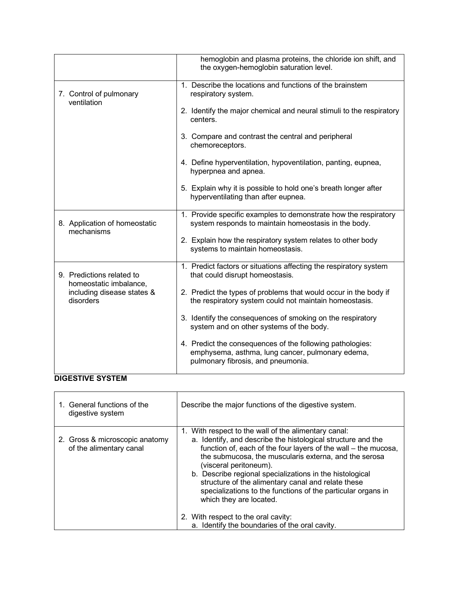|                                                     | hemoglobin and plasma proteins, the chloride ion shift, and<br>the oxygen-hemoglobin saturation level.                                              |
|-----------------------------------------------------|-----------------------------------------------------------------------------------------------------------------------------------------------------|
| 7. Control of pulmonary<br>ventilation              | 1. Describe the locations and functions of the brainstem<br>respiratory system.                                                                     |
|                                                     | 2. Identify the major chemical and neural stimuli to the respiratory<br>centers.                                                                    |
|                                                     | 3. Compare and contrast the central and peripheral<br>chemoreceptors.                                                                               |
|                                                     | 4. Define hyperventilation, hypoventilation, panting, eupnea,<br>hyperpnea and apnea.                                                               |
|                                                     | 5. Explain why it is possible to hold one's breath longer after<br>hyperventilating than after eupnea.                                              |
| 8. Application of homeostatic<br>mechanisms         | 1. Provide specific examples to demonstrate how the respiratory<br>system responds to maintain homeostasis in the body.                             |
|                                                     | 2. Explain how the respiratory system relates to other body<br>systems to maintain homeostasis.                                                     |
| 9. Predictions related to<br>homeostatic imbalance, | 1. Predict factors or situations affecting the respiratory system<br>that could disrupt homeostasis.                                                |
| including disease states &<br>disorders             | 2. Predict the types of problems that would occur in the body if<br>the respiratory system could not maintain homeostasis.                          |
|                                                     | 3. Identify the consequences of smoking on the respiratory<br>system and on other systems of the body.                                              |
|                                                     | 4. Predict the consequences of the following pathologies:<br>emphysema, asthma, lung cancer, pulmonary edema,<br>pulmonary fibrosis, and pneumonia. |

# **DIGESTIVE SYSTEM**

| 1. General functions of the<br>digestive system           | Describe the major functions of the digestive system.                                                                                                                                                                                                                                                                                                                                                                                                                                  |
|-----------------------------------------------------------|----------------------------------------------------------------------------------------------------------------------------------------------------------------------------------------------------------------------------------------------------------------------------------------------------------------------------------------------------------------------------------------------------------------------------------------------------------------------------------------|
| 2. Gross & microscopic anatomy<br>of the alimentary canal | 1. With respect to the wall of the alimentary canal:<br>a. Identify, and describe the histological structure and the<br>function of, each of the four layers of the wall - the mucosa,<br>the submucosa, the muscularis externa, and the serosa<br>(visceral peritoneum).<br>b. Describe regional specializations in the histological<br>structure of the alimentary canal and relate these<br>specializations to the functions of the particular organs in<br>which they are located. |
|                                                           | 2. With respect to the oral cavity:<br>a. Identify the boundaries of the oral cavity.                                                                                                                                                                                                                                                                                                                                                                                                  |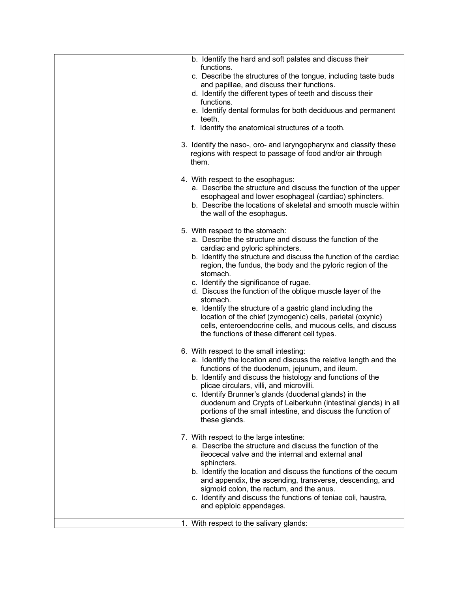| b. Identify the hard and soft palates and discuss their<br>functions.<br>c. Describe the structures of the tongue, including taste buds<br>and papillae, and discuss their functions.<br>d. Identify the different types of teeth and discuss their<br>functions.<br>e. Identify dental formulas for both deciduous and permanent<br>teeth.<br>f. Identify the anatomical structures of a tooth.                                                                                                                                                                                                                                              |
|-----------------------------------------------------------------------------------------------------------------------------------------------------------------------------------------------------------------------------------------------------------------------------------------------------------------------------------------------------------------------------------------------------------------------------------------------------------------------------------------------------------------------------------------------------------------------------------------------------------------------------------------------|
| 3. Identify the naso-, oro- and laryngopharynx and classify these<br>regions with respect to passage of food and/or air through<br>them.                                                                                                                                                                                                                                                                                                                                                                                                                                                                                                      |
| 4. With respect to the esophagus:<br>a. Describe the structure and discuss the function of the upper<br>esophageal and lower esophageal (cardiac) sphincters.<br>b. Describe the locations of skeletal and smooth muscle within<br>the wall of the esophagus.                                                                                                                                                                                                                                                                                                                                                                                 |
| 5. With respect to the stomach:<br>a. Describe the structure and discuss the function of the<br>cardiac and pyloric sphincters.<br>b. Identify the structure and discuss the function of the cardiac<br>region, the fundus, the body and the pyloric region of the<br>stomach.<br>c. Identify the significance of rugae.<br>d. Discuss the function of the oblique muscle layer of the<br>stomach.<br>e. Identify the structure of a gastric gland including the<br>location of the chief (zymogenic) cells, parietal (oxynic)<br>cells, enteroendocrine cells, and mucous cells, and discuss<br>the functions of these different cell types. |
| 6. With respect to the small intesting:<br>a. Identify the location and discuss the relative length and the<br>functions of the duodenum, jejunum, and ileum.<br>b. Identify and discuss the histology and functions of the<br>plicae circulars, villi, and microvilli.<br>c. Identify Brunner's glands (duodenal glands) in the<br>duodenum and Crypts of Leiberkuhn (intestinal glands) in all<br>portions of the small intestine, and discuss the function of<br>these glands.                                                                                                                                                             |
| 7. With respect to the large intestine:<br>a. Describe the structure and discuss the function of the<br>ileocecal valve and the internal and external anal<br>sphincters.<br>b. Identify the location and discuss the functions of the cecum<br>and appendix, the ascending, transverse, descending, and<br>sigmoid colon, the rectum, and the anus.<br>c. Identify and discuss the functions of teniae coli, haustra,<br>and epiploic appendages.                                                                                                                                                                                            |
| 1. With respect to the salivary glands:                                                                                                                                                                                                                                                                                                                                                                                                                                                                                                                                                                                                       |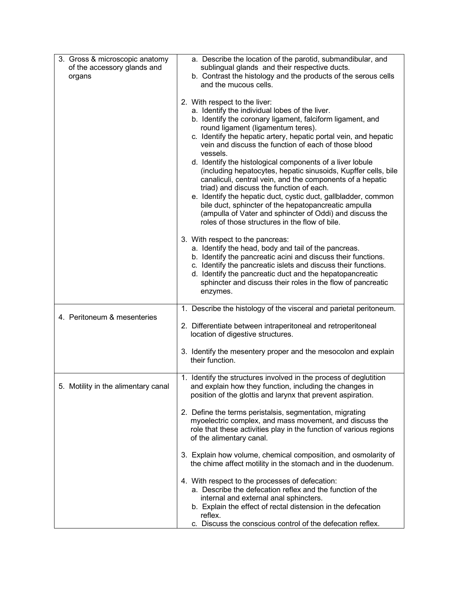| 3. Gross & microscopic anatomy<br>of the accessory glands and<br>organs | a. Describe the location of the parotid, submandibular, and<br>sublingual glands and their respective ducts.<br>b. Contrast the histology and the products of the serous cells<br>and the mucous cells.                                                                                                                                                                                                                                                                                                                                                                                                                                                                                                                                                                                                     |
|-------------------------------------------------------------------------|-------------------------------------------------------------------------------------------------------------------------------------------------------------------------------------------------------------------------------------------------------------------------------------------------------------------------------------------------------------------------------------------------------------------------------------------------------------------------------------------------------------------------------------------------------------------------------------------------------------------------------------------------------------------------------------------------------------------------------------------------------------------------------------------------------------|
|                                                                         | 2. With respect to the liver:<br>a. Identify the individual lobes of the liver.<br>b. Identify the coronary ligament, falciform ligament, and<br>round ligament (ligamentum teres).<br>c. Identify the hepatic artery, hepatic portal vein, and hepatic<br>vein and discuss the function of each of those blood<br>vessels.<br>d. Identify the histological components of a liver lobule<br>(including hepatocytes, hepatic sinusoids, Kupffer cells, bile<br>canaliculi, central vein, and the components of a hepatic<br>triad) and discuss the function of each.<br>e. Identify the hepatic duct, cystic duct, gallbladder, common<br>bile duct, sphincter of the hepatopancreatic ampulla<br>(ampulla of Vater and sphincter of Oddi) and discuss the<br>roles of those structures in the flow of bile. |
|                                                                         | 3. With respect to the pancreas:<br>a. Identify the head, body and tail of the pancreas.<br>b. Identify the pancreatic acini and discuss their functions.<br>c. Identify the pancreatic islets and discuss their functions.<br>d. Identify the pancreatic duct and the hepatopancreatic<br>sphincter and discuss their roles in the flow of pancreatic<br>enzymes.                                                                                                                                                                                                                                                                                                                                                                                                                                          |
| 4. Peritoneum & mesenteries                                             | 1. Describe the histology of the visceral and parietal peritoneum.<br>2. Differentiate between intraperitoneal and retroperitoneal                                                                                                                                                                                                                                                                                                                                                                                                                                                                                                                                                                                                                                                                          |
|                                                                         | location of digestive structures.<br>3. Identify the mesentery proper and the mesocolon and explain<br>their function.                                                                                                                                                                                                                                                                                                                                                                                                                                                                                                                                                                                                                                                                                      |
| 5. Motility in the alimentary canal                                     | 1. Identify the structures involved in the process of deglutition<br>and explain how they function, including the changes in<br>position of the glottis and larynx that prevent aspiration.                                                                                                                                                                                                                                                                                                                                                                                                                                                                                                                                                                                                                 |
|                                                                         | 2. Define the terms peristalsis, segmentation, migrating<br>myoelectric complex, and mass movement, and discuss the<br>role that these activities play in the function of various regions<br>of the alimentary canal.                                                                                                                                                                                                                                                                                                                                                                                                                                                                                                                                                                                       |
|                                                                         | 3. Explain how volume, chemical composition, and osmolarity of<br>the chime affect motility in the stomach and in the duodenum.                                                                                                                                                                                                                                                                                                                                                                                                                                                                                                                                                                                                                                                                             |
|                                                                         | 4. With respect to the processes of defecation:<br>a. Describe the defecation reflex and the function of the<br>internal and external anal sphincters.<br>b. Explain the effect of rectal distension in the defecation<br>reflex.<br>c. Discuss the conscious control of the defecation reflex.                                                                                                                                                                                                                                                                                                                                                                                                                                                                                                             |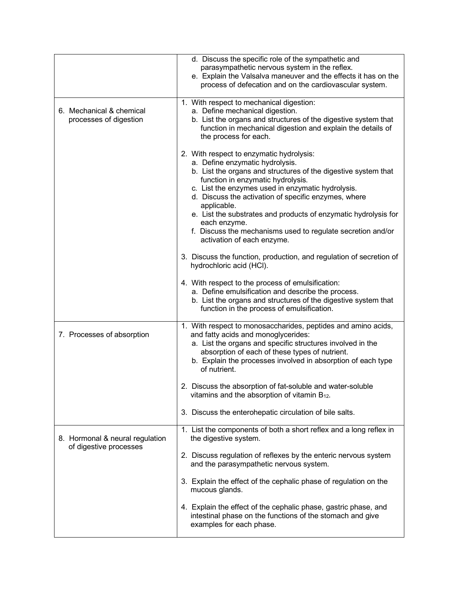|                                                    | d. Discuss the specific role of the sympathetic and<br>parasympathetic nervous system in the reflex.<br>e. Explain the Valsalva maneuver and the effects it has on the<br>process of defecation and on the cardiovascular system.                                                                                                                                                                                                                                                              |
|----------------------------------------------------|------------------------------------------------------------------------------------------------------------------------------------------------------------------------------------------------------------------------------------------------------------------------------------------------------------------------------------------------------------------------------------------------------------------------------------------------------------------------------------------------|
| 6. Mechanical & chemical<br>processes of digestion | 1. With respect to mechanical digestion:<br>a. Define mechanical digestion.<br>b. List the organs and structures of the digestive system that<br>function in mechanical digestion and explain the details of<br>the process for each.                                                                                                                                                                                                                                                          |
|                                                    | 2. With respect to enzymatic hydrolysis:<br>a. Define enzymatic hydrolysis.<br>b. List the organs and structures of the digestive system that<br>function in enzymatic hydrolysis.<br>c. List the enzymes used in enzymatic hydrolysis.<br>d. Discuss the activation of specific enzymes, where<br>applicable.<br>e. List the substrates and products of enzymatic hydrolysis for<br>each enzyme.<br>f. Discuss the mechanisms used to regulate secretion and/or<br>activation of each enzyme. |
|                                                    | 3. Discuss the function, production, and regulation of secretion of<br>hydrochloric acid (HCI).                                                                                                                                                                                                                                                                                                                                                                                                |
|                                                    | 4. With respect to the process of emulsification:<br>a. Define emulsification and describe the process.<br>b. List the organs and structures of the digestive system that<br>function in the process of emulsification.                                                                                                                                                                                                                                                                        |
| 7. Processes of absorption                         | 1. With respect to monosaccharides, peptides and amino acids,<br>and fatty acids and monoglycerides:<br>a. List the organs and specific structures involved in the<br>absorption of each of these types of nutrient.<br>b. Explain the processes involved in absorption of each type<br>of nutrient.                                                                                                                                                                                           |
|                                                    | 2. Discuss the absorption of fat-soluble and water-soluble<br>vitamins and the absorption of vitamin B <sub>12</sub> .                                                                                                                                                                                                                                                                                                                                                                         |
|                                                    | 3. Discuss the enterohepatic circulation of bile salts.                                                                                                                                                                                                                                                                                                                                                                                                                                        |
| 8. Hormonal & neural regulation                    | 1. List the components of both a short reflex and a long reflex in<br>the digestive system.                                                                                                                                                                                                                                                                                                                                                                                                    |
| of digestive processes                             | 2. Discuss regulation of reflexes by the enteric nervous system<br>and the parasympathetic nervous system.                                                                                                                                                                                                                                                                                                                                                                                     |
|                                                    | 3. Explain the effect of the cephalic phase of regulation on the<br>mucous glands.                                                                                                                                                                                                                                                                                                                                                                                                             |
|                                                    | 4. Explain the effect of the cephalic phase, gastric phase, and<br>intestinal phase on the functions of the stomach and give<br>examples for each phase.                                                                                                                                                                                                                                                                                                                                       |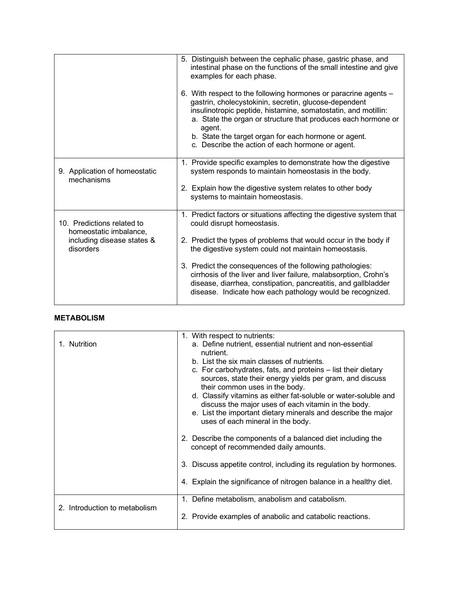|                                                                                                 | 5. Distinguish between the cephalic phase, gastric phase, and<br>intestinal phase on the functions of the small intestine and give<br>examples for each phase.                                                                                                                                                                                                                                                                                                                                 |
|-------------------------------------------------------------------------------------------------|------------------------------------------------------------------------------------------------------------------------------------------------------------------------------------------------------------------------------------------------------------------------------------------------------------------------------------------------------------------------------------------------------------------------------------------------------------------------------------------------|
|                                                                                                 | 6. With respect to the following hormones or paracrine agents –<br>gastrin, cholecystokinin, secretin, glucose-dependent<br>insulinotropic peptide, histamine, somatostatin, and motillin:<br>a. State the organ or structure that produces each hormone or<br>agent.<br>b. State the target organ for each hormone or agent.<br>c. Describe the action of each hormone or agent.                                                                                                              |
| 9. Application of homeostatic<br>mechanisms                                                     | 1. Provide specific examples to demonstrate how the digestive<br>system responds to maintain homeostasis in the body.<br>2. Explain how the digestive system relates to other body<br>systems to maintain homeostasis.                                                                                                                                                                                                                                                                         |
| 10. Predictions related to<br>homeostatic imbalance,<br>including disease states &<br>disorders | 1. Predict factors or situations affecting the digestive system that<br>could disrupt homeostasis.<br>2. Predict the types of problems that would occur in the body if<br>the digestive system could not maintain homeostasis.<br>3. Predict the consequences of the following pathologies:<br>cirrhosis of the liver and liver failure, malabsorption, Crohn's<br>disease, diarrhea, constipation, pancreatitis, and gallbladder<br>disease. Indicate how each pathology would be recognized. |

### **METABOLISM**

| a. Define nutrient, essential nutrient and non-essential           |
|--------------------------------------------------------------------|
|                                                                    |
|                                                                    |
|                                                                    |
| c. For carbohydrates, fats, and proteins – list their dietary      |
| sources, state their energy yields per gram, and discuss           |
| d. Classify vitamins as either fat-soluble or water-soluble and    |
| discuss the major uses of each vitamin in the body.                |
| e. List the important dietary minerals and describe the major      |
|                                                                    |
| 2. Describe the components of a balanced diet including the        |
| 3. Discuss appetite control, including its regulation by hormones. |
| 4. Explain the significance of nitrogen balance in a healthy diet. |
| 1. Define metabolism, anabolism and catabolism.                    |
| 2. Provide examples of anabolic and catabolic reactions.           |
|                                                                    |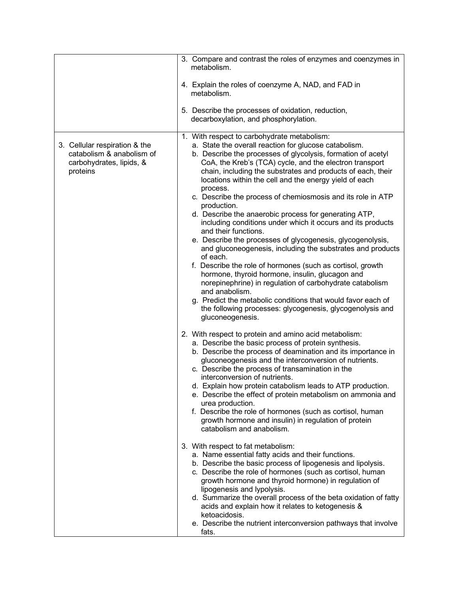|                                                                                                    | 3. Compare and contrast the roles of enzymes and coenzymes in<br>metabolism.                                                                                                                                                                                                                                                                                                                                                                                                                                                                                                                                                                                                                                                                                                                                                                                                                                                                                                                                                                                                               |
|----------------------------------------------------------------------------------------------------|--------------------------------------------------------------------------------------------------------------------------------------------------------------------------------------------------------------------------------------------------------------------------------------------------------------------------------------------------------------------------------------------------------------------------------------------------------------------------------------------------------------------------------------------------------------------------------------------------------------------------------------------------------------------------------------------------------------------------------------------------------------------------------------------------------------------------------------------------------------------------------------------------------------------------------------------------------------------------------------------------------------------------------------------------------------------------------------------|
|                                                                                                    | 4. Explain the roles of coenzyme A, NAD, and FAD in<br>metabolism.                                                                                                                                                                                                                                                                                                                                                                                                                                                                                                                                                                                                                                                                                                                                                                                                                                                                                                                                                                                                                         |
|                                                                                                    | 5. Describe the processes of oxidation, reduction,<br>decarboxylation, and phosphorylation.                                                                                                                                                                                                                                                                                                                                                                                                                                                                                                                                                                                                                                                                                                                                                                                                                                                                                                                                                                                                |
| 3. Cellular respiration & the<br>catabolism & anabolism of<br>carbohydrates, lipids, &<br>proteins | 1. With respect to carbohydrate metabolism:<br>a. State the overall reaction for glucose catabolism.<br>b. Describe the processes of glycolysis, formation of acetyl<br>CoA, the Kreb's (TCA) cycle, and the electron transport<br>chain, including the substrates and products of each, their<br>locations within the cell and the energy yield of each<br>process.<br>c. Describe the process of chemiosmosis and its role in ATP<br>production.<br>d. Describe the anaerobic process for generating ATP,<br>including conditions under which it occurs and its products<br>and their functions.<br>e. Describe the processes of glycogenesis, glycogenolysis,<br>and gluconeogenesis, including the substrates and products<br>of each.<br>f. Describe the role of hormones (such as cortisol, growth<br>hormone, thyroid hormone, insulin, glucagon and<br>norepinephrine) in regulation of carbohydrate catabolism<br>and anabolism.<br>g. Predict the metabolic conditions that would favor each of<br>the following processes: glycogenesis, glycogenolysis and<br>gluconeogenesis. |
|                                                                                                    | 2. With respect to protein and amino acid metabolism:<br>a. Describe the basic process of protein synthesis.<br>b. Describe the process of deamination and its importance in<br>gluconeogenesis and the interconversion of nutrients.<br>c. Describe the process of transamination in the<br>interconversion of nutrients.<br>d. Explain how protein catabolism leads to ATP production<br>e. Describe the effect of protein metabolism on ammonia and<br>urea production.<br>f. Describe the role of hormones (such as cortisol, human<br>growth hormone and insulin) in regulation of protein<br>catabolism and anabolism.                                                                                                                                                                                                                                                                                                                                                                                                                                                               |
|                                                                                                    | 3. With respect to fat metabolism:<br>a. Name essential fatty acids and their functions.<br>b. Describe the basic process of lipogenesis and lipolysis.<br>c. Describe the role of hormones (such as cortisol, human<br>growth hormone and thyroid hormone) in regulation of<br>lipogenesis and lypolysis.<br>d. Summarize the overall process of the beta oxidation of fatty<br>acids and explain how it relates to ketogenesis &<br>ketoacidosis.<br>e. Describe the nutrient interconversion pathways that involve<br>fats.                                                                                                                                                                                                                                                                                                                                                                                                                                                                                                                                                             |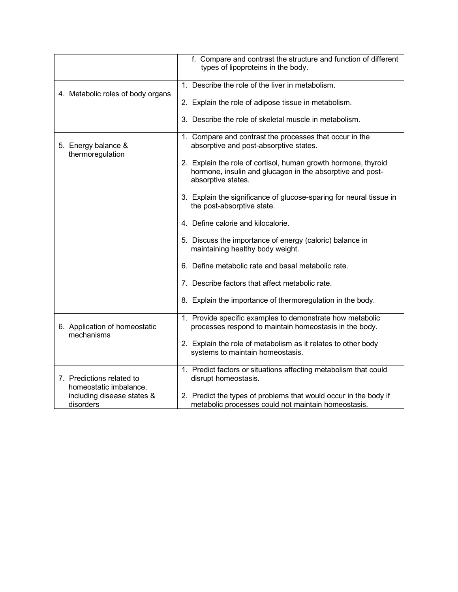|                                                     | f. Compare and contrast the structure and function of different<br>types of lipoproteins in the body.                                             |
|-----------------------------------------------------|---------------------------------------------------------------------------------------------------------------------------------------------------|
| 4. Metabolic roles of body organs                   | 1. Describe the role of the liver in metabolism.                                                                                                  |
|                                                     | 2. Explain the role of adipose tissue in metabolism.                                                                                              |
|                                                     | 3. Describe the role of skeletal muscle in metabolism.                                                                                            |
| 5. Energy balance &<br>thermoregulation             | 1. Compare and contrast the processes that occur in the<br>absorptive and post-absorptive states.                                                 |
|                                                     | 2. Explain the role of cortisol, human growth hormone, thyroid<br>hormone, insulin and glucagon in the absorptive and post-<br>absorptive states. |
|                                                     | 3. Explain the significance of glucose-sparing for neural tissue in<br>the post-absorptive state.                                                 |
|                                                     | 4. Define calorie and kilocalorie.                                                                                                                |
|                                                     | 5. Discuss the importance of energy (caloric) balance in<br>maintaining healthy body weight.                                                      |
|                                                     | 6. Define metabolic rate and basal metabolic rate.                                                                                                |
|                                                     | 7. Describe factors that affect metabolic rate.                                                                                                   |
|                                                     | 8. Explain the importance of thermoregulation in the body.                                                                                        |
| 6. Application of homeostatic<br>mechanisms         | 1. Provide specific examples to demonstrate how metabolic<br>processes respond to maintain homeostasis in the body.                               |
|                                                     | 2. Explain the role of metabolism as it relates to other body<br>systems to maintain homeostasis.                                                 |
| 7. Predictions related to<br>homeostatic imbalance, | 1. Predict factors or situations affecting metabolism that could<br>disrupt homeostasis.                                                          |
| including disease states &<br>disorders             | 2. Predict the types of problems that would occur in the body if<br>metabolic processes could not maintain homeostasis.                           |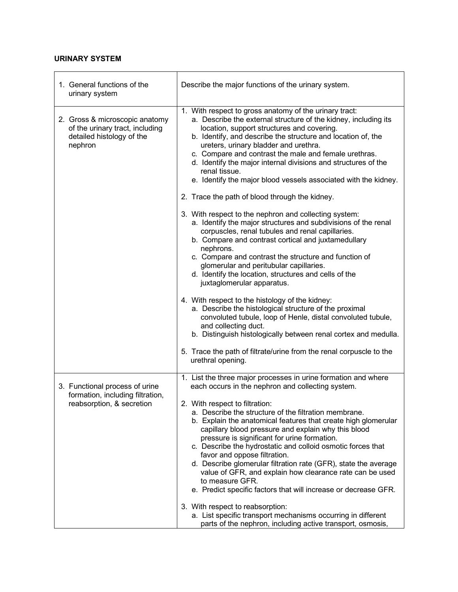### **URINARY SYSTEM**

| 1. General functions of the<br>urinary system                                                             | Describe the major functions of the urinary system.                                                                                                                                                                                                                                                                                                                                                                                                                                                                                                                                                                                                                                                         |
|-----------------------------------------------------------------------------------------------------------|-------------------------------------------------------------------------------------------------------------------------------------------------------------------------------------------------------------------------------------------------------------------------------------------------------------------------------------------------------------------------------------------------------------------------------------------------------------------------------------------------------------------------------------------------------------------------------------------------------------------------------------------------------------------------------------------------------------|
| 2. Gross & microscopic anatomy<br>of the urinary tract, including<br>detailed histology of the<br>nephron | 1. With respect to gross anatomy of the urinary tract:<br>a. Describe the external structure of the kidney, including its<br>location, support structures and covering.<br>b. Identify, and describe the structure and location of, the<br>ureters, urinary bladder and urethra.<br>c. Compare and contrast the male and female urethras.<br>d. Identify the major internal divisions and structures of the<br>renal tissue.<br>e. Identify the major blood vessels associated with the kidney.<br>2. Trace the path of blood through the kidney.<br>3. With respect to the nephron and collecting system:                                                                                                  |
|                                                                                                           | a. Identify the major structures and subdivisions of the renal<br>corpuscles, renal tubules and renal capillaries.<br>b. Compare and contrast cortical and juxtamedullary<br>nephrons.<br>c. Compare and contrast the structure and function of<br>glomerular and peritubular capillaries.<br>d. Identify the location, structures and cells of the<br>juxtaglomerular apparatus.                                                                                                                                                                                                                                                                                                                           |
|                                                                                                           | 4. With respect to the histology of the kidney:<br>a. Describe the histological structure of the proximal<br>convoluted tubule, loop of Henle, distal convoluted tubule,<br>and collecting duct.<br>b. Distinguish histologically between renal cortex and medulla.                                                                                                                                                                                                                                                                                                                                                                                                                                         |
|                                                                                                           | 5. Trace the path of filtrate/urine from the renal corpuscle to the<br>urethral opening.                                                                                                                                                                                                                                                                                                                                                                                                                                                                                                                                                                                                                    |
| 3. Functional process of urine<br>formation, including filtration,<br>reabsorption, & secretion           | 1. List the three major processes in urine formation and where<br>each occurs in the nephron and collecting system.<br>2. With respect to filtration:<br>a. Describe the structure of the filtration membrane.<br>b. Explain the anatomical features that create high glomerular<br>capillary blood pressure and explain why this blood<br>pressure is significant for urine formation.<br>c. Describe the hydrostatic and colloid osmotic forces that<br>favor and oppose filtration.<br>d. Describe glomerular filtration rate (GFR), state the average<br>value of GFR, and explain how clearance rate can be used<br>to measure GFR.<br>e. Predict specific factors that will increase or decrease GFR. |
|                                                                                                           | 3. With respect to reabsorption:<br>a. List specific transport mechanisms occurring in different<br>parts of the nephron, including active transport, osmosis,                                                                                                                                                                                                                                                                                                                                                                                                                                                                                                                                              |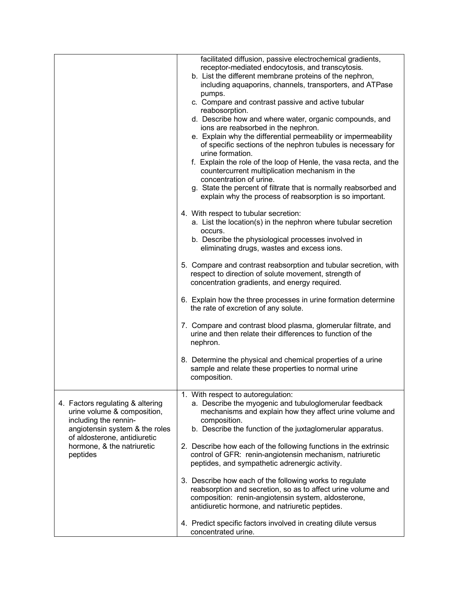|                                                                                                                            | facilitated diffusion, passive electrochemical gradients,<br>receptor-mediated endocytosis, and transcytosis.                                                                                                                         |
|----------------------------------------------------------------------------------------------------------------------------|---------------------------------------------------------------------------------------------------------------------------------------------------------------------------------------------------------------------------------------|
|                                                                                                                            | b. List the different membrane proteins of the nephron,<br>including aquaporins, channels, transporters, and ATPase                                                                                                                   |
|                                                                                                                            | pumps.<br>c. Compare and contrast passive and active tubular<br>reabosorption.                                                                                                                                                        |
|                                                                                                                            | d. Describe how and where water, organic compounds, and<br>ions are reabsorbed in the nephron.                                                                                                                                        |
|                                                                                                                            | e. Explain why the differential permeability or impermeability<br>of specific sections of the nephron tubules is necessary for<br>urine formation.                                                                                    |
|                                                                                                                            | f. Explain the role of the loop of Henle, the vasa recta, and the<br>countercurrent multiplication mechanism in the<br>concentration of urine.                                                                                        |
|                                                                                                                            | g. State the percent of filtrate that is normally reabsorbed and<br>explain why the process of reabsorption is so important.                                                                                                          |
|                                                                                                                            | 4. With respect to tubular secretion:<br>a. List the location(s) in the nephron where tubular secretion<br>occurs.                                                                                                                    |
|                                                                                                                            | b. Describe the physiological processes involved in<br>eliminating drugs, wastes and excess ions.                                                                                                                                     |
|                                                                                                                            | 5. Compare and contrast reabsorption and tubular secretion, with<br>respect to direction of solute movement, strength of<br>concentration gradients, and energy required.                                                             |
|                                                                                                                            | 6. Explain how the three processes in urine formation determine<br>the rate of excretion of any solute.                                                                                                                               |
|                                                                                                                            | 7. Compare and contrast blood plasma, glomerular filtrate, and<br>urine and then relate their differences to function of the<br>nephron.                                                                                              |
|                                                                                                                            | 8. Determine the physical and chemical properties of a urine<br>sample and relate these properties to normal urine<br>composition.                                                                                                    |
| 4. Factors regulating & altering<br>urine volume & composition,<br>including the rennin-<br>angiotensin system & the roles | 1. With respect to autoregulation:<br>a. Describe the myogenic and tubuloglomerular feedback<br>mechanisms and explain how they affect urine volume and<br>composition.<br>b. Describe the function of the juxtaglomerular apparatus. |
| of aldosterone, antidiuretic<br>hormone, & the natriuretic<br>peptides                                                     | 2. Describe how each of the following functions in the extrinsic<br>control of GFR: renin-angiotensin mechanism, natriuretic<br>peptides, and sympathetic adrenergic activity.                                                        |
|                                                                                                                            | 3. Describe how each of the following works to regulate<br>reabsorption and secretion, so as to affect urine volume and<br>composition: renin-angiotensin system, aldosterone,<br>antidiuretic hormone, and natriuretic peptides.     |
|                                                                                                                            | 4. Predict specific factors involved in creating dilute versus<br>concentrated urine.                                                                                                                                                 |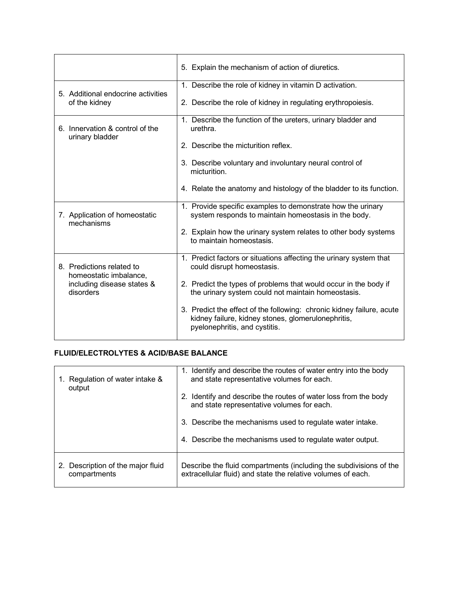|                                                     | 5. Explain the mechanism of action of diuretics.                                                                                                             |
|-----------------------------------------------------|--------------------------------------------------------------------------------------------------------------------------------------------------------------|
| 5. Additional endocrine activities                  | 1. Describe the role of kidney in vitamin D activation.                                                                                                      |
| of the kidney                                       | 2. Describe the role of kidney in regulating erythropoiesis.                                                                                                 |
| 6. Innervation & control of the<br>urinary bladder  | 1. Describe the function of the ureters, urinary bladder and<br>urethra.                                                                                     |
|                                                     | 2. Describe the micturition reflex.                                                                                                                          |
|                                                     | 3. Describe voluntary and involuntary neural control of<br>micturition.                                                                                      |
|                                                     | 4. Relate the anatomy and histology of the bladder to its function.                                                                                          |
| 7. Application of homeostatic<br>mechanisms         | 1. Provide specific examples to demonstrate how the urinary<br>system responds to maintain homeostasis in the body.                                          |
|                                                     | 2. Explain how the urinary system relates to other body systems<br>to maintain homeostasis.                                                                  |
| 8. Predictions related to<br>homeostatic imbalance, | 1. Predict factors or situations affecting the urinary system that<br>could disrupt homeostasis.                                                             |
| including disease states &<br>disorders             | 2. Predict the types of problems that would occur in the body if<br>the urinary system could not maintain homeostasis.                                       |
|                                                     | 3. Predict the effect of the following: chronic kidney failure, acute<br>kidney failure, kidney stones, glomerulonephritis,<br>pyelonephritis, and cystitis. |

### **FLUID/ELECTROLYTES & ACID/BASE BALANCE**

| 1. Regulation of water intake &<br>output | 1. Identify and describe the routes of water entry into the body<br>and state representative volumes for each.<br>2. Identify and describe the routes of water loss from the body<br>and state representative volumes for each.<br>3. Describe the mechanisms used to regulate water intake.<br>4. Describe the mechanisms used to regulate water output. |
|-------------------------------------------|-----------------------------------------------------------------------------------------------------------------------------------------------------------------------------------------------------------------------------------------------------------------------------------------------------------------------------------------------------------|
| 2. Description of the major fluid         | Describe the fluid compartments (including the subdivisions of the                                                                                                                                                                                                                                                                                        |
| compartments                              | extracellular fluid) and state the relative volumes of each.                                                                                                                                                                                                                                                                                              |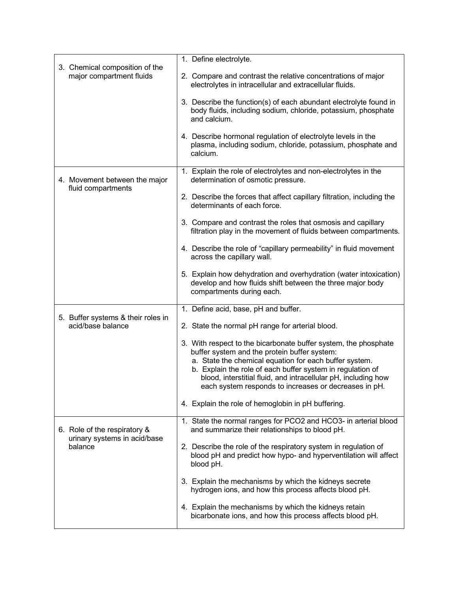|                                                         | 1. Define electrolyte.                                                                                                                                                                                                                                                                                                                                             |
|---------------------------------------------------------|--------------------------------------------------------------------------------------------------------------------------------------------------------------------------------------------------------------------------------------------------------------------------------------------------------------------------------------------------------------------|
| 3. Chemical composition of the                          |                                                                                                                                                                                                                                                                                                                                                                    |
| major compartment fluids                                | 2. Compare and contrast the relative concentrations of major<br>electrolytes in intracellular and extracellular fluids.                                                                                                                                                                                                                                            |
|                                                         | 3. Describe the function(s) of each abundant electrolyte found in<br>body fluids, including sodium, chloride, potassium, phosphate<br>and calcium.                                                                                                                                                                                                                 |
|                                                         | 4. Describe hormonal regulation of electrolyte levels in the<br>plasma, including sodium, chloride, potassium, phosphate and<br>calcium.                                                                                                                                                                                                                           |
| 4. Movement between the major<br>fluid compartments     | 1. Explain the role of electrolytes and non-electrolytes in the<br>determination of osmotic pressure.                                                                                                                                                                                                                                                              |
|                                                         | 2. Describe the forces that affect capillary filtration, including the<br>determinants of each force.                                                                                                                                                                                                                                                              |
|                                                         | 3. Compare and contrast the roles that osmosis and capillary<br>filtration play in the movement of fluids between compartments.                                                                                                                                                                                                                                    |
|                                                         | 4. Describe the role of "capillary permeability" in fluid movement<br>across the capillary wall.                                                                                                                                                                                                                                                                   |
|                                                         | 5. Explain how dehydration and overhydration (water intoxication)<br>develop and how fluids shift between the three major body<br>compartments during each.                                                                                                                                                                                                        |
|                                                         | 1. Define acid, base, pH and buffer.                                                                                                                                                                                                                                                                                                                               |
| 5. Buffer systems & their roles in<br>acid/base balance | 2. State the normal pH range for arterial blood.                                                                                                                                                                                                                                                                                                                   |
|                                                         | 3. With respect to the bicarbonate buffer system, the phosphate<br>buffer system and the protein buffer system:<br>a. State the chemical equation for each buffer system.<br>b. Explain the role of each buffer system in regulation of<br>blood, interstitial fluid, and intracellular pH, including how<br>each system responds to increases or decreases in pH. |
|                                                         | 4. Explain the role of hemoglobin in pH buffering.                                                                                                                                                                                                                                                                                                                 |
| 6. Role of the respiratory &                            | 1. State the normal ranges for PCO2 and HCO3- in arterial blood<br>and summarize their relationships to blood pH.                                                                                                                                                                                                                                                  |
| urinary systems in acid/base<br>balance                 | 2. Describe the role of the respiratory system in regulation of<br>blood pH and predict how hypo- and hyperventilation will affect<br>blood pH.                                                                                                                                                                                                                    |
|                                                         | 3. Explain the mechanisms by which the kidneys secrete<br>hydrogen ions, and how this process affects blood pH.                                                                                                                                                                                                                                                    |
|                                                         | 4. Explain the mechanisms by which the kidneys retain<br>bicarbonate ions, and how this process affects blood pH.                                                                                                                                                                                                                                                  |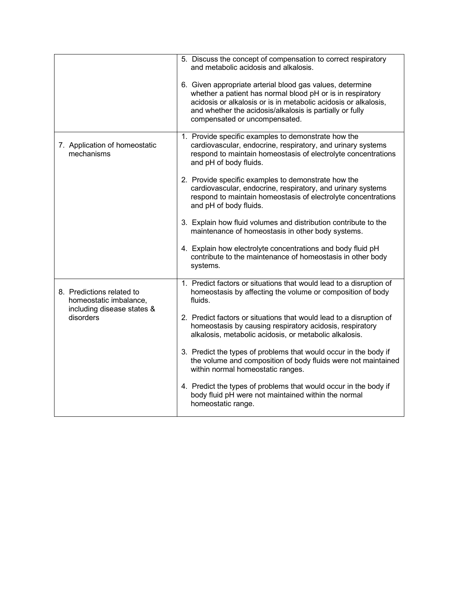|                                                                                                | 5. Discuss the concept of compensation to correct respiratory<br>and metabolic acidosis and alkalosis.                                                                                                                                                                                  |
|------------------------------------------------------------------------------------------------|-----------------------------------------------------------------------------------------------------------------------------------------------------------------------------------------------------------------------------------------------------------------------------------------|
|                                                                                                | 6. Given appropriate arterial blood gas values, determine<br>whether a patient has normal blood pH or is in respiratory<br>acidosis or alkalosis or is in metabolic acidosis or alkalosis,<br>and whether the acidosis/alkalosis is partially or fully<br>compensated or uncompensated. |
| 7. Application of homeostatic<br>mechanisms                                                    | 1. Provide specific examples to demonstrate how the<br>cardiovascular, endocrine, respiratory, and urinary systems<br>respond to maintain homeostasis of electrolyte concentrations<br>and pH of body fluids.                                                                           |
|                                                                                                | 2. Provide specific examples to demonstrate how the<br>cardiovascular, endocrine, respiratory, and urinary systems<br>respond to maintain homeostasis of electrolyte concentrations<br>and pH of body fluids.                                                                           |
|                                                                                                | 3. Explain how fluid volumes and distribution contribute to the<br>maintenance of homeostasis in other body systems.                                                                                                                                                                    |
|                                                                                                | 4. Explain how electrolyte concentrations and body fluid pH<br>contribute to the maintenance of homeostasis in other body<br>systems.                                                                                                                                                   |
| 8. Predictions related to<br>homeostatic imbalance,<br>including disease states &<br>disorders | 1. Predict factors or situations that would lead to a disruption of<br>homeostasis by affecting the volume or composition of body<br>fluids.                                                                                                                                            |
|                                                                                                | 2. Predict factors or situations that would lead to a disruption of<br>homeostasis by causing respiratory acidosis, respiratory<br>alkalosis, metabolic acidosis, or metabolic alkalosis.                                                                                               |
|                                                                                                | 3. Predict the types of problems that would occur in the body if<br>the volume and composition of body fluids were not maintained<br>within normal homeostatic ranges.                                                                                                                  |
|                                                                                                | 4. Predict the types of problems that would occur in the body if<br>body fluid pH were not maintained within the normal<br>homeostatic range.                                                                                                                                           |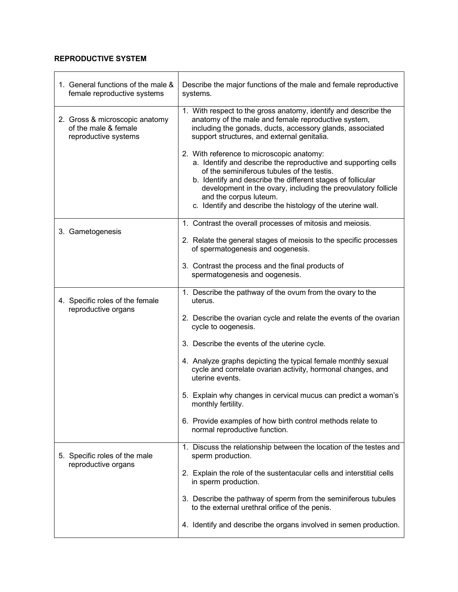# **REPRODUCTIVE SYSTEM**

| 1. General functions of the male &<br>female reproductive systems              | Describe the major functions of the male and female reproductive<br>systems.                                                                                                                                                                                                                                                                                                       |
|--------------------------------------------------------------------------------|------------------------------------------------------------------------------------------------------------------------------------------------------------------------------------------------------------------------------------------------------------------------------------------------------------------------------------------------------------------------------------|
| 2. Gross & microscopic anatomy<br>of the male & female<br>reproductive systems | 1. With respect to the gross anatomy, identify and describe the<br>anatomy of the male and female reproductive system,<br>including the gonads, ducts, accessory glands, associated<br>support structures, and external genitalia.                                                                                                                                                 |
|                                                                                | 2. With reference to microscopic anatomy:<br>a. Identify and describe the reproductive and supporting cells<br>of the seminiferous tubules of the testis.<br>b. Identify and describe the different stages of follicular<br>development in the ovary, including the preovulatory follicle<br>and the corpus luteum.<br>c. Identify and describe the histology of the uterine wall. |
| 3. Gametogenesis                                                               | 1. Contrast the overall processes of mitosis and meiosis.                                                                                                                                                                                                                                                                                                                          |
|                                                                                | 2. Relate the general stages of meiosis to the specific processes<br>of spermatogenesis and oogenesis.                                                                                                                                                                                                                                                                             |
|                                                                                | 3. Contrast the process and the final products of<br>spermatogenesis and oogenesis.                                                                                                                                                                                                                                                                                                |
| 4. Specific roles of the female<br>reproductive organs                         | 1. Describe the pathway of the ovum from the ovary to the<br>uterus.                                                                                                                                                                                                                                                                                                               |
|                                                                                | 2. Describe the ovarian cycle and relate the events of the ovarian<br>cycle to oogenesis.                                                                                                                                                                                                                                                                                          |
|                                                                                | 3. Describe the events of the uterine cycle.                                                                                                                                                                                                                                                                                                                                       |
|                                                                                | 4. Analyze graphs depicting the typical female monthly sexual<br>cycle and correlate ovarian activity, hormonal changes, and<br>uterine events.                                                                                                                                                                                                                                    |
|                                                                                | 5. Explain why changes in cervical mucus can predict a woman's<br>monthly fertility.                                                                                                                                                                                                                                                                                               |
|                                                                                | 6. Provide examples of how birth control methods relate to<br>normal reproductive function.                                                                                                                                                                                                                                                                                        |
| 5. Specific roles of the male<br>reproductive organs                           | 1. Discuss the relationship between the location of the testes and<br>sperm production.                                                                                                                                                                                                                                                                                            |
|                                                                                | 2. Explain the role of the sustentacular cells and interstitial cells<br>in sperm production.                                                                                                                                                                                                                                                                                      |
|                                                                                | 3. Describe the pathway of sperm from the seminiferous tubules<br>to the external urethral orifice of the penis.                                                                                                                                                                                                                                                                   |
|                                                                                | 4. Identify and describe the organs involved in semen production.                                                                                                                                                                                                                                                                                                                  |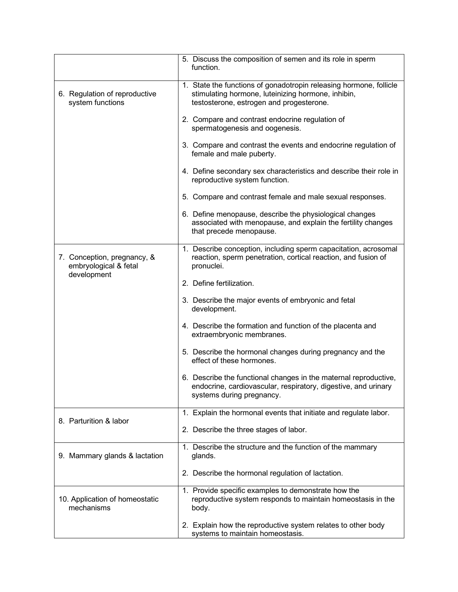|                                                      | 5. Discuss the composition of semen and its role in sperm<br>function.                                                                                               |
|------------------------------------------------------|----------------------------------------------------------------------------------------------------------------------------------------------------------------------|
| 6. Regulation of reproductive<br>system functions    | 1. State the functions of gonadotropin releasing hormone, follicle<br>stimulating hormone, luteinizing hormone, inhibin,<br>testosterone, estrogen and progesterone. |
|                                                      | 2. Compare and contrast endocrine regulation of<br>spermatogenesis and oogenesis.                                                                                    |
|                                                      | 3. Compare and contrast the events and endocrine regulation of<br>female and male puberty.                                                                           |
|                                                      | 4. Define secondary sex characteristics and describe their role in<br>reproductive system function.                                                                  |
|                                                      | 5. Compare and contrast female and male sexual responses.                                                                                                            |
|                                                      | 6. Define menopause, describe the physiological changes<br>associated with menopause, and explain the fertility changes<br>that precede menopause.                   |
| 7. Conception, pregnancy, &<br>embryological & fetal | 1. Describe conception, including sperm capacitation, acrosomal<br>reaction, sperm penetration, cortical reaction, and fusion of<br>pronuclei.                       |
| development                                          | 2. Define fertilization.                                                                                                                                             |
|                                                      | 3. Describe the major events of embryonic and fetal<br>development.                                                                                                  |
|                                                      | 4. Describe the formation and function of the placenta and<br>extraembryonic membranes.                                                                              |
|                                                      | 5. Describe the hormonal changes during pregnancy and the<br>effect of these hormones.                                                                               |
|                                                      | 6. Describe the functional changes in the maternal reproductive,<br>endocrine, cardiovascular, respiratory, digestive, and urinary<br>systems during pregnancy.      |
| 8. Parturition & labor                               | 1. Explain the hormonal events that initiate and regulate labor.                                                                                                     |
|                                                      | 2. Describe the three stages of labor.                                                                                                                               |
| 9. Mammary glands & lactation                        | 1. Describe the structure and the function of the mammary<br>glands.                                                                                                 |
|                                                      | 2. Describe the hormonal regulation of lactation.                                                                                                                    |
| 10. Application of homeostatic<br>mechanisms         | 1. Provide specific examples to demonstrate how the<br>reproductive system responds to maintain homeostasis in the<br>body.                                          |
|                                                      | 2. Explain how the reproductive system relates to other body<br>systems to maintain homeostasis.                                                                     |